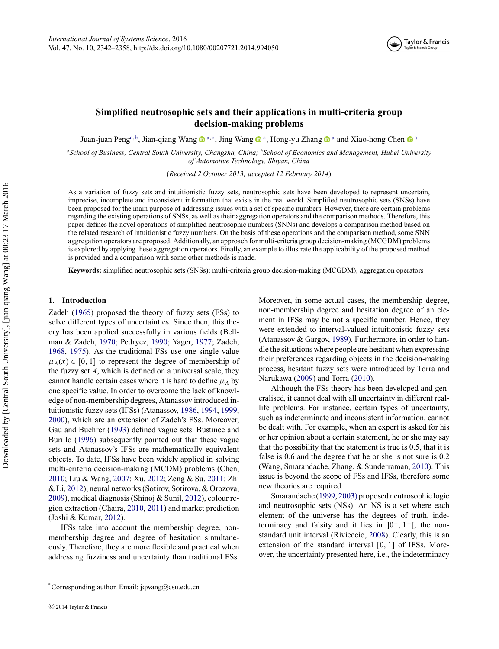

# **Simplified neutrosophic sets and their applications in multi-criteria group decision-making problems**

Juan-juan Peng<sup>[a,](#page-0-0)b</sup>, Jian-qiang Wang <sup>na,[∗](#page-0-2)</sup>, Jing W[a](#page-0-0)ng na, Hong-yu Zhang na and Xiao-hong Chen na

<span id="page-0-0"></span>*aSchool of Business, Central South University, Changsha, China; bSchool of Economics and Management, Hubei University of Automotive Technology, Shiyan, China*

<span id="page-0-1"></span>(*Received 2 October 2013; accepted 12 February 2014*)

As a variation of fuzzy sets and intuitionistic fuzzy sets, neutrosophic sets have been developed to represent uncertain, imprecise, incomplete and inconsistent information that exists in the real world. Simplified neutrosophic sets (SNSs) have been proposed for the main purpose of addressing issues with a set of specific numbers. However, there are certain problems regarding the existing operations of SNSs, as well as their aggregation operators and the comparison methods. Therefore, this paper defines the novel operations of simplified neutrosophic numbers (SNNs) and develops a comparison method based on the related research of intuitionistic fuzzy numbers. On the basis of these operations and the comparison method, some SNN aggregation operators are proposed. Additionally, an approach for multi-criteria group decision-making (MCGDM) problems is explored by applying these aggregation operators. Finally, an example to illustrate the applicability of the proposed method is provided and a comparison with some other methods is made.

**Keywords:** simplified neutrosophic sets (SNSs); multi-criteria group decision-making (MCGDM); aggregation operators

## **1. Introduction**

Zadeh [\(1965\)](#page-16-0) proposed the theory of fuzzy sets (FSs) to solve different types of uncertainties. Since then, this theory has been applied successfully in various fields (Bellman & Zadeh, [1970;](#page-15-0) Pedrycz, [1990;](#page-16-1) Yager, [1977;](#page-16-2) Zadeh, [1968,](#page-16-3) [1975\)](#page-16-4). As the traditional FSs use one single value  $\mu_A(x) \in [0, 1]$  to represent the degree of membership of the fuzzy set *A*, which is defined on a universal scale, they cannot handle certain cases where it is hard to define  $\mu_A$  by one specific value. In order to overcome the lack of knowledge of non-membership degrees, Atanassov introduced intuitionistic fuzzy sets (IFSs) (Atanassov, [1986,](#page-15-1) [1994,](#page-15-2) [1999,](#page-15-3) [2000\)](#page-15-4), which are an extension of Zadeh's FSs. Moreover, Gau and Buehrer [\(1993\)](#page-15-5) defined vague sets. Bustince and Burillo [\(1996\)](#page-15-6) subsequently pointed out that these vague sets and Atanassov's IFSs are mathematically equivalent objects. To date, IFSs have been widely applied in solving multi-criteria decision-making (MCDM) problems (Chen, [2010;](#page-15-7) Liu & Wang, [2007;](#page-16-5) Xu, [2012;](#page-16-6) Zeng & Su, [2011;](#page-16-7) Zhi & Li, [2012\)](#page-16-8), neural networks (Sotirov, Sotirova, & Orozova, [2009\)](#page-16-9), medical diagnosis (Shinoj & Sunil, [2012\)](#page-16-10), colour region extraction (Chaira, [2010,](#page-15-8) [2011\)](#page-15-9) and market prediction (Joshi & Kumar, [2012\)](#page-15-10).

IFSs take into account the membership degree, nonmembership degree and degree of hesitation simultaneously. Therefore, they are more flexible and practical when addressing fuzziness and uncertainty than traditional FSs. Moreover, in some actual cases, the membership degree, non-membership degree and hesitation degree of an element in IFSs may be not a specific number. Hence, they were extended to interval-valued intuitionistic fuzzy sets (Atanassov & Gargov, [1989\)](#page-15-11). Furthermore, in order to handle the situations where people are hesitant when expressing their preferences regarding objects in the decision-making process, hesitant fuzzy sets were introduced by Torra and Narukawa [\(2009\)](#page-16-11) and Torra [\(2010\)](#page-16-12).

Although the FSs theory has been developed and generalised, it cannot deal with all uncertainty in different reallife problems. For instance, certain types of uncertainty, such as indeterminate and inconsistent information, cannot be dealt with. For example, when an expert is asked for his or her opinion about a certain statement, he or she may say that the possibility that the statement is true is 0.5, that it is false is 0.6 and the degree that he or she is not sure is 0.2 (Wang, Smarandache, Zhang, & Sunderraman, [2010\)](#page-16-13). This issue is beyond the scope of FSs and IFSs, therefore some new theories are required.

Smarandache [\(1999,](#page-16-14) [2003\)](#page-16-15) proposed neutrosophic logic and neutrosophic sets (NSs). An NS is a set where each element of the universe has the degrees of truth, indeterminacy and falsity and it lies in ]0<sup>−</sup>*,* 1<sup>+</sup>[, the nonstandard unit interval (Rivieccio, [2008\)](#page-16-16). Clearly, this is an extension of the standard interval [0*,* 1] of IFSs. Moreover, the uncertainty presented here, i.e., the indeterminacy

<span id="page-0-2"></span><sup>∗</sup> Corresponding author. Email: [jqwang@csu.edu.cn](mailto:jqwang@csu.edu.cn)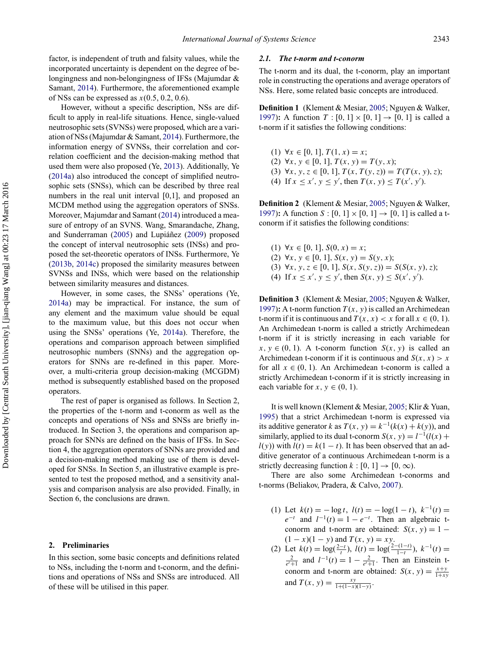factor, is independent of truth and falsity values, while the incorporated uncertainty is dependent on the degree of belongingness and non-belongingness of IFSs (Majumdar & Samant, [2014\)](#page-16-17). Furthermore, the aforementioned example of NSs can be expressed as *x*(0.5, 0.2, 0.6).

However, without a specific description, NSs are difficult to apply in real-life situations. Hence, single-valued neutrosophic sets (SVNSs) were proposed, which are a variation of NSs (Majumdar & Samant, [2014\)](#page-16-17). Furthermore, the information energy of SVNSs, their correlation and correlation coefficient and the decision-making method that used them were also proposed (Ye, [2013\)](#page-16-18). Additionally, Ye [\(2014a\)](#page-16-19) also introduced the concept of simplified neutrosophic sets (SNSs), which can be described by three real numbers in the real unit interval [0,1], and proposed an MCDM method using the aggregation operators of SNSs. Moreover, Majumdar and Samant [\(2014\)](#page-16-17) introduced a measure of entropy of an SVNS. Wang, Smarandache, Zhang, and Sunderraman  $(2005)$  and Lupiáñez  $(2009)$  $(2009)$  proposed the concept of interval neutrosophic sets (INSs) and proposed the set-theoretic operators of INSs. Furthermore, Ye [\(2013b,](#page-16-22) [2014c\)](#page-16-23) proposed the similarity measures between SVNSs and INSs, which were based on the relationship between similarity measures and distances.

However, in some cases, the SNSs' operations (Ye, [2014a\)](#page-16-19) may be impractical. For instance, the sum of any element and the maximum value should be equal to the maximum value, but this does not occur when using the SNSs' operations (Ye, [2014a\)](#page-16-19). Therefore, the operations and comparison approach between simplified neutrosophic numbers (SNNs) and the aggregation operators for SNNs are re-defined in this paper. Moreover, a multi-criteria group decision-making (MCGDM) method is subsequently established based on the proposed operators.

The rest of paper is organised as follows. In Section 2, the properties of the t-norm and t-conorm as well as the concepts and operations of NSs and SNSs are briefly introduced. In Section 3, the operations and comparison approach for SNNs are defined on the basis of IFSs. In Section 4, the aggregation operators of SNNs are provided and a decision-making method making use of them is developed for SNSs. In Section 5, an illustrative example is presented to test the proposed method, and a sensitivity analysis and comparison analysis are also provided. Finally, in Section 6, the conclusions are drawn.

## **2. Preliminaries**

In this section, some basic concepts and definitions related to NSs, including the t-norm and t-conorm, and the definitions and operations of NSs and SNSs are introduced. All of these will be utilised in this paper.

## *2.1. The t-norm and t-conorm*

The t-norm and its dual, the t-conorm, play an important role in constructing the operations and average operators of NSs. Here, some related basic concepts are introduced.

**Definition 1** (Klement & Mesiar, [2005;](#page-15-12) Nguyen & Walker, [1997\)](#page-16-24): A function  $T : [0, 1] \times [0, 1] \rightarrow [0, 1]$  is called a t-norm if it satisfies the following conditions:

- (1) ∀*x* ∈ [0, 1], *T*(1, *x*) = *x*; (2) ∀*x, y* ∈ [0*,* 1]*, T* (*x, y*) = *T* (*y, x*);
- (3)  $\forall x, y, z \in [0, 1], T(x, T(y, z)) = T(T(x, y), z);$
- (4) If  $x \le x'$ ,  $y \le y'$ , then  $T(x, y) \le T(x', y')$ .

**Definition 2** (Klement & Mesiar, [2005;](#page-15-12) Nguyen & Walker, [1997\)](#page-16-24): A function  $S : [0, 1] \times [0, 1] \rightarrow [0, 1]$  is called a tconorm if it satisfies the following conditions:

(1) ∀*x* ∈ [0*,* 1]*, S*(0*, x*) = *x*; (2) ∀*x, y* ∈ [0*,* 1]*, S*(*x, y*) = *S*(*y, x*); (3)  $∀x, y, z ∈ [0, 1], S(x, S(y, z)) = S(S(x, y), z);$ (4) If  $x \le x'$ ,  $y \le y'$ , then  $S(x, y) \le S(x', y')$ .

**Definition 3** (Klement & Mesiar, [2005;](#page-15-12) Nguyen & Walker, [1997\)](#page-16-24): A t-norm function  $T(x, y)$  is called an Archimedean t-norm if it is continuous and  $T(x, x) < x$  for all  $x \in (0, 1)$ . An Archimedean t-norm is called a strictly Archimedean t-norm if it is strictly increasing in each variable for  $x, y \in (0, 1)$ . A t-conorm function  $S(x, y)$  is called an Archimedean t-conorm if it is continuous and  $S(x, x) > x$ for all  $x \in (0, 1)$ . An Archimedean t-conorm is called a strictly Archimedean t-conorm if it is strictly increasing in each variable for  $x, y \in (0, 1)$ .

It is well known (Klement & Mesiar, [2005;](#page-15-12) Klir & Yuan, [1995\)](#page-15-13) that a strict Archimedean t-norm is expressed via its additive generator *k* as  $T(x, y) = k^{-1}(k(x) + k(y))$ , and similarly, applied to its dual t-conorm  $S(x, y) = l^{-1}(l(x)) +$ *l*(*y*)) with *l*(*t*) =  $k(1 - t)$ . It has been observed that an additive generator of a continuous Archimedean t-norm is a strictly decreasing function  $k : [0, 1] \rightarrow [0, \infty)$ .

There are also some Archimedean t-conorms and t-norms (Beliakov, Pradera, & Calvo, [2007\)](#page-15-14).

- (1) Let  $k(t) = -\log t$ ,  $l(t) = -\log(1-t)$ ,  $k^{-1}(t) =$  $e^{-t}$  and  $l^{-1}(t) = 1 - e^{-t}$ . Then an algebraic tconorm and t-norm are obtained:  $S(x, y) = 1 (1 - x)(1 - y)$  and  $T(x, y) = xy$ .
- (2) Let  $k(t) = \log(\frac{2-t}{t})$ ,  $l(t) = \log(\frac{2-(1-t)}{1-t})$ ,  $k^{-1}(t) = \frac{2}{e^t+1}$  and  $l^{-1}(t) = 1 \frac{2}{e^t+1}$ . Then an Einstein tconorm and t-norm are obtained:  $S(x, y) = \frac{x+y}{1+xy}$ and  $T(x, y) = \frac{xy}{1 + (1 - x)(1 - y)}$ .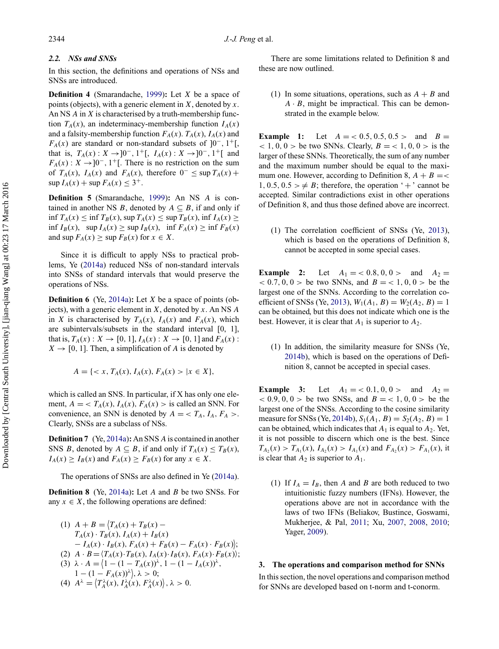## *2.2. NSs and SNSs*

In this section, the definitions and operations of NSs and SNSs are introduced.

**Definition 4** (Smarandache, [1999\)](#page-16-14)**:** Let *X* be a space of points (objects), with a generic element in *X*, denoted by *x*. An NS *A* in *X* is characterised by a truth-membership function  $T_A(x)$ , an indeterminacy-membership function  $I_A(x)$ and a falsity-membership function  $F_A(x)$ .  $T_A(x)$ ,  $I_A(x)$  and  $F_A(x)$  are standard or non-standard subsets of  $]0^-, 1^+$ , that is,  $T_A(x)$  :  $X \rightarrow ]0^-$ , 1<sup>+</sup>[,  $I_A(x)$  :  $X \rightarrow ]0^-$ , 1<sup>+</sup>[ and  $F_A(x): X \to [0^-, 1^+]$ . There is no restriction on the sum of  $T_A(x)$ ,  $I_A(x)$  and  $F_A(x)$ , therefore  $0^- \leq \sup T_A(x) +$  $\sup I_A(x) + \sup F_A(x) \leq 3^+$ .

**Definition 5** (Smarandache, [1999\)](#page-16-14)**:** An NS *A* is contained in another NS *B*, denoted by  $A \subseteq B$ , if and only if  $\inf T_A(x) \leq \inf T_B(x)$ ,  $\sup T_A(x) \leq \sup T_B(x)$ ,  $\inf T_A(x) \geq$  $\inf I_B(x)$ ,  $\sup I_A(x) \geq \sup I_B(x)$ ,  $\inf F_A(x) \geq \inf F_B(x)$ and  $\sup F_A(x) \geq \sup F_B(x)$  for  $x \in X$ .

Since it is difficult to apply NSs to practical problems, Ye [\(2014a\)](#page-16-19) reduced NSs of non-standard intervals into SNSs of standard intervals that would preserve the operations of NSs.

**Definition 6** (Ye, [2014a\)](#page-16-19)**:** Let *X* be a space of points (objects), with a generic element in *X*, denoted by *x*. An NS *A* in *X* is characterised by  $T_A(x)$ ,  $I_A(x)$  and  $F_A(x)$ , which are subintervals/subsets in the standard interval [0, 1], that is,  $T_A(x) : X \to [0, 1], I_A(x) : X \to [0, 1]$  and  $F_A(x)$ :  $X \rightarrow [0, 1]$ . Then, a simplification of *A* is denoted by

$$
A = \{ \langle x, T_A(x), I_A(x), F_A(x) \rangle \mid x \in X \},
$$

which is called an SNS. In particular, if X has only one element,  $A = \langle T_A(x), I_A(x), F_A(x) \rangle$  is called an SNN. For convenience, an SNN is denoted by  $A = \langle T_A, I_A, F_A \rangle$ . Clearly, SNSs are a subclass of NSs.

**Definition 7** (Ye, [2014a\)](#page-16-19)**:** An SNS *A* is contained in another SNS *B*, denoted by  $A \subseteq B$ , if and only if  $T_A(x) \leq T_B(x)$ ,  $I_A(x) \geq I_B(x)$  and  $F_A(x) \geq F_B(x)$  for any  $x \in X$ .

The operations of SNSs are also defined in Ye [\(2014a\)](#page-16-19).

**Definition 8** (Ye, [2014a\)](#page-16-19)**:** Let *A* and *B* be two SNSs. For any  $x \in X$ , the following operations are defined:

(1) 
$$
A + B = \langle T_A(x) + T_B(x) - T_A(x) \cdot T_B(x), I_A(x) + I_B(x) - I_A(x) \cdot I_B(x), F_A(x) + F_B(x) - F_A(x) \cdot F_B(x) \rangle;
$$
  
\n(2)  $A \cdot B = \langle T_A(x) \cdot T_B(x), I_A(x) \cdot I_B(x), F_A(x) \cdot F_B(x) \rangle;$   
\n(3)  $\lambda \cdot A = \langle 1 - (1 - T_A(x))^{\lambda}, 1 - (1 - I_A(x))^{\lambda}, 1 - (1 - F_A(x))^{\lambda}, \lambda > 0;$   
\n(4)  $A^{\lambda} = \langle T_A^{\lambda}(x), I_A^{\lambda}(x), F_A^{\lambda}(x) \rangle, \lambda > 0.$ 

There are some limitations related to Definition 8 and these are now outlined.

(1) In some situations, operations, such as  $A + B$  and  $A \cdot B$ , might be impractical. This can be demonstrated in the example below.

**Example 1:** Let  $A = < 0.5, 0.5, 0.5 >$  and  $B =$  $(2, 1, 0, 0)$  be two SNNs. Clearly,  $B = (1, 0, 0)$  is the larger of these SNNs. Theoretically, the sum of any number and the maximum number should be equal to the maximum one. However, according to Definition 8,  $A + B = \langle A \rangle$  $1, 0.5, 0.5 > \neq B$ ; therefore, the operation '+' cannot be accepted. Similar contradictions exist in other operations of Definition 8, and thus those defined above are incorrect.

(1) The correlation coefficient of SNSs (Ye, [2013\)](#page-16-18), which is based on the operations of Definition 8, cannot be accepted in some special cases.

**Example 2:** Let  $A_1 = \langle 0.8, 0, 0 \rangle$  and  $A_2 =$  $(0.7, 0, 0)$  be two SNNs, and  $B = (1, 0, 0)$  be the largest one of the SNNs. According to the correlation co-efficient of SNSs (Ye, [2013\)](#page-16-18),  $W_1(A_1, B) = W_2(A_2, B) = 1$ can be obtained, but this does not indicate which one is the best. However, it is clear that  $A_1$  is superior to  $A_2$ .

(1) In addition, the similarity measure for SNSs (Ye, [2014b\)](#page-16-22), which is based on the operations of Definition 8, cannot be accepted in special cases.

**Example 3:** Let  $A_1 = \langle 0.1, 0, 0 \rangle$  and  $A_2 =$  $(0.9, 0, 0)$  be two SNSs, and  $B = (1, 0, 0)$  be the largest one of the SNSs. According to the cosine similarity measure for SNSs (Ye, [2014b\)](#page-16-22),  $S_1(A_1, B) = S_2(A_2, B) = 1$ can be obtained, which indicates that  $A_1$  is equal to  $A_2$ . Yet, it is not possible to discern which one is the best. Since  $T_{A_2}(x) > T_{A_1}(x), I_{A_2}(x) > I_{A_1}(x)$  and  $F_{A_2}(x) > F_{A_1}(x)$ , it is clear that  $A_2$  is superior to  $A_1$ .

(1) If  $I_A = I_B$ , then *A* and *B* are both reduced to two intuitionistic fuzzy numbers (IFNs). However, the operations above are not in accordance with the laws of two IFNs (Beliakov, Bustince, Goswami, Mukherjee, & Pal, [2011;](#page-15-15) Xu, [2007,](#page-16-25) [2008,](#page-16-26) [2010;](#page-16-27) Yager, [2009\)](#page-16-28).

## **3. The operations and comparison method for SNNs**

In this section, the novel operations and comparison method for SNNs are developed based on t-norm and t-conorm.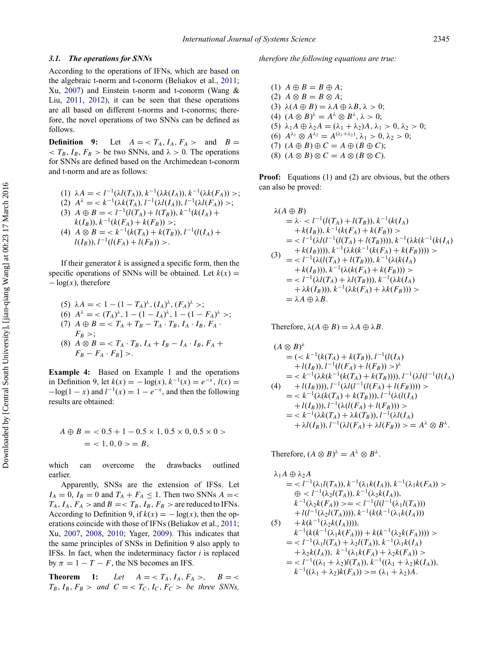## *3.1. The operations for SNNs*

According to the operations of IFNs, which are based on the algebraic t-norm and t-conorm (Beliakov et al., [2011;](#page-15-15) Xu, [2007\)](#page-16-25) and Einstein t-norm and t-conorm (Wang & Liu, [2011,](#page-16-29) [2012\)](#page-16-30), it can be seen that these operations are all based on different t-norms and t-conorms; therefore, the novel operations of two SNNs can be defined as follows.

**Definition** 9: Let  $A = \langle T_A, I_A, F_A \rangle$  and  $B =$  $\langle T_B, I_B, F_B \rangle$  be two SNNs, and  $\lambda > 0$ . The operations for SNNs are defined based on the Archimedean t-conorm and t-norm and are as follows:

(1) 
$$
\lambda A = \langle l^{-1}(\lambda l(T_A)), k^{-1}(\lambda k(I_A)), k^{-1}(\lambda k(F_A)) \rangle;
$$
  
\n(2)  $A^{\lambda} = \langle k^{-1}(\lambda k(T_A), l^{-1}(\lambda l(I_A)), l^{-1}(\lambda l(F_A)) \rangle;$   
\n(3)  $A \oplus B = \langle l^{-1}(l(T_A) + l(T_B)), k^{-1}(k(I_A) + k(I_B)), k^{-1}(k(I_A) + k(I_B)) \rangle;$   
\n(4)  $A \otimes B = \langle k^{-1}(k(T_A) + k(T_B)), l^{-1}(l(I_A) + l(I_B)), l^{-1}(l(F_A) + l(F_B)) \rangle.$ 

If their generator *k* is assigned a specific form, then the specific operations of SNNs will be obtained. Let  $k(x) =$  $-\log(x)$ , therefore

(5) 
$$
\lambda A = \langle 1 - (1 - T_A)^{\lambda}, (I_A)^{\lambda}, (F_A)^{\lambda} \rangle;
$$
  
\n(6)  $A^{\lambda} = \langle (T_A)^{\lambda}, 1 - (1 - I_A)^{\lambda}, 1 - (1 - F_A)^{\lambda} \rangle;$   
\n(7)  $A \oplus B = \langle T_A + T_B - T_A \cdot T_B, I_A \cdot I_B, F_A \cdot F_B \rangle;$   
\n $F_B >;$ 

(8)  $A \otimes B = \langle T_A \cdot T_B, I_A + I_B - I_A \cdot I_B, F_A + I_B \rangle$  $F_B - F_A \cdot F_B$ ] >.

**Example 4:** Based on Example 1 and the operations in Definition 9, let  $k(x) = -\log(x)$ ,  $k^{-1}(x) = e^{-x}$ ,  $l(x) =$  $-\log(1 - x)$  and  $l^{-1}(x) = 1 - e^{-x}$ , and then the following results are obtained:

$$
A \oplus B = \langle 0.5 + 1 - 0.5 \times 1, 0.5 \times 0, 0.5 \times 0 \rangle
$$
  
= <1, 0, 0> = B,

which can overcome the drawbacks outlined earlier.

Apparently, SNSs are the extension of IFSs. Let  $I_A = 0$ ,  $I_B = 0$  and  $T_A + F_A \leq 1$ . Then two SNNs  $A = \leq$  $T_A$ ,  $I_A$ ,  $F_A$  > and  $B = < T_B$ ,  $I_B$ ,  $F_B$  > are reduced to IFNs. According to Definition 9, if  $k(x) = -\log(x)$ , then the operations coincide with those of IFNs (Beliakov et al., [2011;](#page-15-15) Xu, [2007,](#page-16-25) [2008,](#page-16-26) [2010;](#page-16-27) Yager, [2009\)](#page-16-28). This indicates that the same principles of SNSs in Definition 9 also apply to IFSs. In fact, when the indeterminacy factor *i* is replaced by  $\pi = 1 - T - F$ , the NS becomes an IFS.

**Theorem 1:** Let  $A = \langle T_A, I_A, F_A \rangle, B = \langle$  $T_B$ ,  $I_B$ ,  $F_B$  > and  $C = < T_C$ ,  $I_C$ ,  $F_C$  > *be three SNNs*, *therefore the following equations are true:*

 $(1)$   $A \oplus B = B \oplus A;$  $(A \otimes B) = B \otimes A;$ (3)  $\lambda(A \oplus B) = \lambda A \oplus \lambda B, \lambda > 0;$ (4)  $(A \otimes B)^{\lambda} = A^{\lambda} \otimes B^{\lambda}, \lambda > 0;$ (5)  $\lambda_1 A ⊕ \lambda_2 A = (\lambda_1 + \lambda_2) A$ ,  $\lambda_1 > 0$ ,  $\lambda_2 > 0$ ; (6)  $A^{\lambda_1} ⊗ A^{\lambda_2} = A^{(\lambda_1 + \lambda_2)}, \lambda_1 > 0, \lambda_2 > 0;$  $(7)$   $(A \oplus B) \oplus C = A \oplus (B \oplus C);$ (8)  $(A \otimes B) \otimes C = A \otimes (B \otimes C)$ .

**Proof:** Equations (1) and (2) are obvious, but the others can also be proved:

$$
\lambda(A \oplus B) \n= \lambda \cdot \langle l^{-1}(l(T_A) + l(T_B)), k^{-1}(k(I_A) \\ \n+ k(I_B)), k^{-1}(k(F_A) + k(F_B)) \rangle \n= \langle l^{-1}(\lambda l(l^{-1}(l(T_A) + l(T_B))))), k^{-1}(\lambda k(k^{-1}(k(I_A) \\ \n+ k(I_B))))), k^{-1}(\lambda k(k^{-1}(k(F_A) + k(F_B)))) ) \rangle \n= \langle l^{-1}(\lambda(l(T_A) + l(T_B))), k^{-1}(\lambda(k(I_A) \\ \n+ k(I_B))), k^{-1}(\lambda(k(F_A) + k(F_B))) \rangle \n= \langle l^{-1}(\lambda l(T_A) + \lambda l(T_B))), k^{-1}(\lambda k(I_A) \\ \n+ \lambda k(I_B))), k^{-1}(\lambda k(F_A) + \lambda k(F_B))) \rangle \n= \lambda A \oplus \lambda B.
$$

Therefore,  $\lambda(A \oplus B) = \lambda A \oplus \lambda B$ .

$$
(A \otimes B)^{\lambda}
$$
  
=  $(< k^{-1}(k(T_A) + k(T_B)), l^{-1}(l(I_A) + l(I_B)))$ ,  $l^{-1}(l(F_A) + l(F_B)) > )^{\lambda}$   
=  $< k^{-1}(\lambda k(k^{-1}(k(T_A) + k(T_B))))$ ,  $l^{-1}(\lambda l(l^{-1}(l(I_A) + l(I_B)))) ) >$   
=  $< k^{-1}(\lambda (k(T_A) + k(T_B)))$ ,  $l^{-1}(\lambda (l(I_A) + l(F_B))) >$   
=  $< k^{-1}(\lambda (k(T_A) + k(T_B)))$ ,  $l^{-1}(\lambda (l(I_A) + l(I_B))) >$   
=  $< k^{-1}(\lambda k(T_A) + \lambda k(T_B)), l^{-1}(\lambda l(I_A) + \lambda l(I_B))$ ,  $l^{-1}(\lambda l(I_A) + \lambda l(I_B))$ ,  $l^{-1}(\lambda l(I_A) + \lambda l(I_B))$ ,  $l^{-1}(\lambda l(I_A) + \lambda l(I_B))$ ,  $l^{-1}(\lambda l(I_A) + \lambda l(I_B))$ ,  $l^{-1}(\lambda l(I_A) + \lambda l(I_B))$ ,  $l^{-1}(\lambda l(I_A) + \lambda l(I_B))$ ,  $l^{-1}(\lambda l(I_B) + \lambda l(I_B))$ ,  $l^{-1}(\lambda l(I_B) + \lambda l(I_B))$ ,  $l^{-1}(\lambda l(I_B) + \lambda l(I_B))$ ,  $l^{-1}(\lambda l(I_B) + \lambda l(I_B))$ ,  $l^{-1}(\lambda l(I_B) + \lambda l(I_B))$ ,  $l^{-1}(\lambda l(I_B) + \lambda l(I_B))$ ,  $l^{-1}(\lambda l(I_B) + \lambda l(I_B))$ ,  $l^{-1}(\lambda l(I_B) + \lambda l(I_B))$ ,  $l^{-1}(\lambda l(I_B) + \lambda l(I_B))$ ,  $l^{-1}(\lambda l(I_B) + \lambda l(I_B))$ ,  $l^{-1}(\lambda l(I_B) + \lambda l(I_B))$ ,  $l^{-1}(\lambda l(I_B) + \lambda l(I_B))$ ,  $l^{-1}(\lambda l(I_B) + \lambda l(I_B))$ ,  $l^{-1}(\lambda l(I_B) + \lambda l(I_B))$ ,  $l^{-1}(\lambda l(I_B) + \lambda l(I_B))$ ,  $l^{-1}(\lambda l(I_B) + \lambda$ 

Therefore,  $(A \otimes B)^{\lambda} = A^{\lambda} \otimes B^{\lambda}$ .

$$
\lambda_1 A \oplus \lambda_2 A
$$
  
=  $\langle l^{-1}(\lambda_1 l(T_A)), k^{-1}(\lambda_1 k(I_A)), k^{-1}(\lambda_1 k(F_A)) \rangle$   
 $\oplus \langle l^{-1}(\lambda_2 l(T_A)), k^{-1}(\lambda_2 k(I_A)),$   
 $k^{-1}(\lambda_2 k(F_A)) \rangle = \langle l^{-1}((l^{-1}(\lambda_1 l(T_A))))$   
 $+ l(l^{-1}(\lambda_2 l(T_A))))$ ,  $k^{-1}(k(k^{-1}(\lambda_1 k(I_A)))$   
 $\langle k^{-1}((k^{-1}(\lambda_1 k(F_A))))$ ,  
 $k^{-1}(k(k^{-1}(\lambda_1 k(F_A)))) + k(k^{-1}(\lambda_2 k(F_A)))) \rangle$   
=  $\langle l^{-1}(\lambda_1 l(T_A) + \lambda_2 l(T_A)), k^{-1}(\lambda_1 k(I_A)) \rangle$   
=  $\langle l^{-1}((\lambda_1 + \lambda_2)l(T_A)), k^{-1}((\lambda_1 + \lambda_2)k(I_A)),$   
 $k^{-1}((\lambda_1 + \lambda_2)k(F_A)) \rangle = (\lambda_1 + \lambda_2)A$ .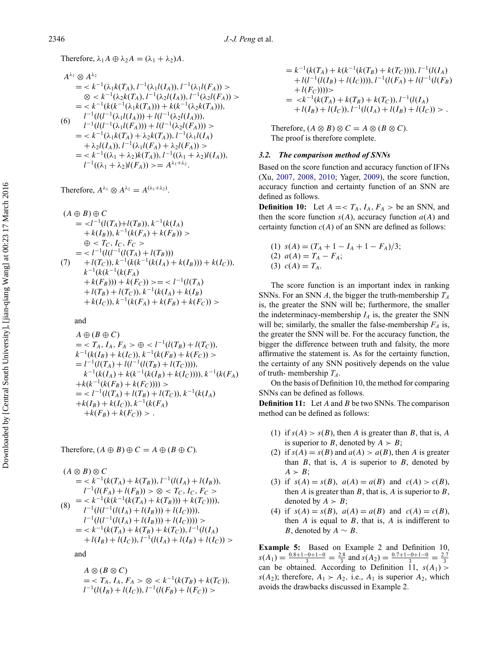Therefore,  $\lambda_1 A \oplus \lambda_2 A = (\lambda_1 + \lambda_2)A$ .

$$
A^{\lambda_1} \otimes A^{\lambda_2}
$$
  
=  $\langle k^{-1}(\lambda_1 k(T_A), l^{-1}(\lambda_1 l(I_A)), l^{-1}(\lambda_1 l(F_A)) \rangle$   
 $\otimes \langle k^{-1}(\lambda_2 k(T_A), l^{-1}(\lambda_2 l(I_A)), l^{-1}(\lambda_2 l(F_A)) \rangle$   
=  $\langle k^{-1}(k(k^{-1}(\lambda_1 k(T_A)))) + k(k^{-1}(\lambda_2 k(T_A))),$   
 $l^{-1}(l(l^{-1}(\lambda_1 l(I_A)))) + l(l^{-1}(\lambda_2 l(I_A))),$   
 $\langle 6 \rangle$   $l^{-1}(l(l^{-1}(\lambda_1 l(F_A))) + l(l^{-1}(\lambda_2 l(F_A))) \rangle$   
=  $\langle k^{-1}(\lambda_1 k(T_A) + \lambda_2 k(T_A)), l^{-1}(\lambda_1 l(I_A) + \lambda_2 l(I_A)), l^{-1}(\lambda_1 l(I_A) + \lambda_2 l(I_A)), l^{-1}(\lambda_1 l(F_A) + \lambda_2 l(F_A)) \rangle$   
=  $\langle k^{-1}((\lambda_1 + \lambda_2) k(T_A)), l^{-1}((\lambda_1 + \lambda_2) l(I_A)),$   
 $l^{-1}((\lambda_1 + \lambda_2) l(F_A)) \rangle = A^{\lambda_1 + \lambda_2}.$ 

Therefore,  $A^{\lambda_1} \otimes A^{\lambda_2} = A^{(\lambda_1 + \lambda_2)}$ .

$$
(A \oplus B) \oplus C
$$
  
=  $\langle l^{-1}(l(T_A)+l(T_B)), k^{-1}(k(I_A) + k(F_B)) \rangle$   
+  $k(I_B), k^{-1}(k(F_A) + k(F_B)) \rangle$   
 $\oplus \langle T_C, I_C, F_C \rangle$   
=  $\langle l^{-1}(l(l^{-1}(l(T_A) + l(T_B))) + l(T_C)), k^{-1}(k(k^{-1}(k(I_A) + k(I_B))) + k(I_C)),$   
 $k^{-1}(k(k^{-1}(k(F_A) + k(F_B))) + k(F_C)) \rangle = \langle l^{-1}(l(T_A) + l(T_B) + l(T_C)), k^{-1}(k(I_A) + k(I_B) + k(I_C)), k^{-1}(k(F_A) + k(F_B) + k(F_C)) \rangle$ 

and

$$
A \oplus (B \oplus C)
$$
  
=  $\langle T_A, I_A, F_A \rangle \oplus \langle I^{-1}(l(T_B) + l(T_C)),$   
 $k^{-1}(k(I_B) + k(I_C)), k^{-1}(k(F_B) + k(F_C)) \rangle$   
=  $l^{-1}(l(T_A) + l(l^{-1}(l(T_B) + l(T_C))))$ ,  
 $k^{-1}(k(I_A) + k(k^{-1}(k(I_B) + k(I_C)))) \rangle, k^{-1}(k(F_A)$   
+  $k(k^{-1}(k(F_B) + k(F_C)))) \rangle$   
=  $\langle l^{-1}(l(T_A) + l(T_B) + l(T_C)), k^{-1}(k(I_A)$   
+  $k(I_B) + k(I_C)), k^{-1}(k(F_A)$   
+  $k(F_B) + k(F_C)) \rangle$ .

Therefore,  $(A \oplus B) \oplus C = A \oplus (B \oplus C)$ .

$$
(A \otimes B) \otimes C
$$
  
=  $< k^{-1}(k(T_A) + k(T_B)), l^{-1}(l(I_A) + l(I_B)),$   

$$
l^{-1}(l(F_A) + l(F_B)) > \otimes < T_C, I_C, F_C >
$$
  

$$
=  $k^{-1}(k(k^{-1}(k(T_A) + k(T_B))) + k(T_C)))$ ,  

$$
l^{-1}(l(l^{-1}(l(I_A) + l(I_B))) + l(I_C)))
$$
,  

$$
l^{-1}(l(l^{-1}(l(I_A) + l(I_B))) + l(I_C))) >
$$
  

$$
=  $k^{-1}(k(T_A) + k(T_B) + k(T_C)), l^{-1}(l(I_A) + l(I_B) + l(I_C)) >$
$$
$$

and

$$
A \otimes (B \otimes C)
$$
  
=  $\langle T_A, I_A, F_A > \otimes \langle k^{-1}(k(T_B) + k(T_C)),$   
 $l^{-1}(l(I_B) + l(I_C)), l^{-1}(l(F_B) + l(F_C)) >$ 

$$
= k^{-1} (k(T_A) + k(k^{-1}(k(T_B) + k(T_C)))) , l^{-1} (l(I_A) + l(l^{-1}(l(I_B) + l(I_C)))) , l^{-1} (l(F_A) + l(l^{-1}(l(F_B) + l(F_C)))) >
$$
  

$$
= \langle k^{-1}(k(T_A) + k(T_B) + k(T_C)) , l^{-1}(l(I_A) + l(I_B) + l(I_C)) , l^{-1}(l(I_A) + l(I_B) + l(I_C)) > .
$$

Therefore,  $(A \otimes B) \otimes C = A \otimes (B \otimes C)$ . The proof is therefore complete.

## *3.2. The comparison method of SNNs*

Based on the score function and accuracy function of IFNs (Xu, [2007,](#page-16-25) [2008,](#page-16-26) [2010;](#page-16-27) Yager, [2009\)](#page-16-28), the score function, accuracy function and certainty function of an SNN are defined as follows.

**Definition 10:** Let  $A = \langle T_A, I_A, F_A \rangle$  be an SNN, and then the score function  $s(A)$ , accuracy function  $a(A)$  and certainty function  $c(A)$  of an SNN are defined as follows:

(1) 
$$
s(A) = (T_A + 1 - I_A + 1 - F_A)/3;
$$
  
(2)  $a(A) = T_A - F_A;$   
(3)  $c(A) = T_A.$ 

The score function is an important index in ranking SNNs. For an SNN *A*, the bigger the truth-membership *TA* is, the greater the SNN will be; furthermore, the smaller the indeterminacy-membership  $I_A$  is, the greater the SNN will be; similarly, the smaller the false-membership  $F_A$  is, the greater the SNN will be. For the accuracy function, the bigger the difference between truth and falsity, the more affirmative the statement is. As for the certainty function, the certainty of any SNN positively depends on the value of truth-membership  $T_A$ .

On the basis of Definition 10, the method for comparing SNNs can be defined as follows.

**Definition 11:** Let *A* and *B* be two SNNs. The comparison method can be defined as follows:

- (1) if  $s(A) > s(B)$ , then *A* is greater than *B*, that is, *A* is superior to *B*, denoted by  $A > B$ ;
- (2) if  $s(A) = s(B)$  and  $a(A) > a(B)$ , then *A* is greater than  $B$ , that is,  $A$  is superior to  $B$ , denoted by  $A \succ B$ ;
- (3) if  $s(A) = s(B)$ ,  $a(A) = a(B)$  and  $c(A) > c(B)$ , then *A* is greater than *B*, that is, *A* is superior to *B*, denoted by  $A \succ B$ ;
- (4) if  $s(A) = s(B)$ ,  $a(A) = a(B)$  and  $c(A) = c(B)$ , then  $A$  is equal to  $B$ , that is,  $A$  is indifferent to *B*, denoted by  $A \sim B$ .

**Example 5:** Based on Example 2 and Definition 10,  $s(A_1) = \frac{0.8 + 1 - 0 + 1 - 0}{3} = \frac{2.8}{3}$  and  $s(A_2) = \frac{0.7 + 1 - 0 + 1 - 0}{3} = \frac{2.7}{3}$ can be obtained. According to Definition 11,  $s(A_1)$  $s(A_2)$ ; therefore,  $A_1 \succ A_2$ , i.e.,  $A_1$  is superior  $A_2$ , which avoids the drawbacks discussed in Example 2.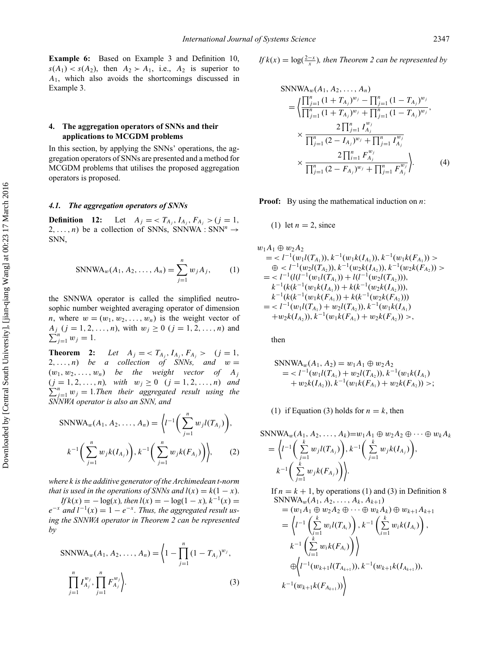**Example 6:** Based on Example 3 and Definition 10,  $s(A_1) < s(A_2)$ , then  $A_2 > A_1$ , i.e.,  $A_2$  is superior to *A*1, which also avoids the shortcomings discussed in Example 3.

## **4. The aggregation operators of SNNs and their applications to MCGDM problems**

In this section, by applying the SNNs' operations, the aggregation operators of SNNs are presented and a method for MCGDM problems that utilises the proposed aggregation operators is proposed.

## *4.1. The aggregation operators of SNNs*

**Definition** 12: Let  $A_j = \langle T_{A_j}, I_{A_j}, F_{A_j} \rangle$  (*j* = 1*,* 2,...,n) be a collection of SNNs, SNNWA : SNN<sup>n</sup>  $\rightarrow$ SNN,

$$
SNNWA_w(A_1, A_2, ..., A_n) = \sum_{j=1}^{n} w_j A_j,
$$
 (1)

the SNNWA operator is called the simplified neutrosophic number weighted averaging operator of dimension *n*, where  $w = (w_1, w_2, \ldots, w_n)$  is the weight vector of  $A_j$  (*j* = 1, 2, ..., *n*), with  $w_j \ge 0$  (*j* = 1, 2, ..., *n*) and  $\sum_{j=1}^{n} w_j = 1.$ 

**Theorem 2:** *Let*  $A_j = \langle T_{A_j}, I_{A_j}, F_{A_j} \rangle$  (*j* = 1*,* 2,...,n) *be a collection of SNNs, and*  $w =$  $(w_1, w_2, \ldots, w_n)$  *be the weight vector of*  $A_j$  $(j = 1, 2, ..., n)$ , with  $w_j \ge 0$   $(j = 1, 2, ..., n)$  *and*  $\sum_{j=1}^{n} w_j = 1$ *. Then their aggregated result using the SNNWA operator is also an SNN, and*

$$
\text{SNNWA}_{w}(A_{1}, A_{2}, \dots, A_{n}) = \left\langle l^{-1} \left( \sum_{j=1}^{n} w_{j} l(T_{A_{j}}) \right), \right. \\ k^{-1} \left( \sum_{j=1}^{n} w_{j} k(I_{A_{j}}) \right), k^{-1} \left( \sum_{j=1}^{n} w_{j} k(F_{A_{j}}) \right) \right\rangle, \tag{2}
$$

*where k is the additive generator of the Archimedean t-norm that is used in the operations of SNNs and*  $l(x) = k(1 - x)$ .

 $If k(x) = -\log(x)$ *, then*  $l(x) = -\log(1-x)$ ,  $k^{-1}(x) =$  $e^{-x}$  *and*  $l^{-1}(x) = 1 - e^{-x}$ . *Thus, the aggregated result using the SNNWA operator in Theorem 2 can be represented by*

$$
\text{SNNWA}_{w}(A_1, A_2, \dots, A_n) = \left\langle 1 - \prod_{j=1}^n (1 - T_{A_j})^{w_j}, \prod_{j=1}^n I_{A_j}^{w_j}, \prod_{j=1}^n F_{A_j}^{w_j} \right\rangle. \tag{3}
$$

*If*  $k(x) = \log(\frac{2-x}{x})$ , then Theorem 2 can be represented by

$$
SNNWA_w(A_1, A_2, ..., A_n)
$$
\n
$$
= \left\langle \frac{\prod_{j=1}^n (1 + T_{A_j})^{w_j} - \prod_{j=1}^n (1 - T_{A_j})^{w_j}}{\prod_{j=1}^n (1 + T_{A_j})^{w_j} + \prod_{j=1}^n (1 - T_{A_j})^{w_j}}, \times \frac{2 \prod_{j=1}^n I_{A_j}^{w_j}}{\prod_{j=1}^n (2 - I_{A_j})^{w_j} + \prod_{j=1}^n I_{A_j}^{w_j}} \times \frac{2 \prod_{i=1}^n F_{A_j}^{w_j}}{\prod_{j=1}^n (2 - F_{A_j})^{w_j} + \prod_{j=1}^n F_{A_j}^{w_j}} \right\rangle.
$$
\n(4)

**Proof:** By using the mathematical induction on *n*:

## (1) let  $n = 2$ , since

$$
w_1A_1 \oplus w_2A_2
$$
  
=  $\langle l^{-1}(w_1l(T_{A_1})), k^{-1}(w_1k(I_{A_1})), k^{-1}(w_1k(F_{A_1})) \rangle$   
 $\oplus \langle l^{-1}(w_2l(T_{A_2})), k^{-1}(w_2k(I_{A_2})), k^{-1}(w_2k(F_{A_2})) \rangle$   
=  $\langle l^{-1}(l(l^{-1}(w_1l(T_{A_1}))+l(l^{-1}(w_2l(T_{A_2}))),$   
 $k^{-1}(k(k^{-1}(w_1k(I_{A_1}))+k(k^{-1}(w_2k(I_{A_2}))),$   
 $k^{-1}(k(k^{-1}(w_1k(F_{A_1}))+k(k^{-1}(w_2k(F_{A_2})))$   
=  $\langle l^{-1}(w_1l(T_{A_1})+w_2l(T_{A_2})), k^{-1}(w_1k(I_{A_1})$   
+ $w_2k(I_{A_2})), k^{-1}(w_1k(F_{A_1})+w_2k(F_{A_2})) \rangle$ ,

then

$$
SNNWA_w(A_1, A_2) = w_1A_1 \oplus w_2A_2
$$
  
=  $l^{-1}(w_1l(T_{A_1}) + w_2l(T_{A_2})), k^{-1}(w_1k(I_{A_1}) + w_2k(I_{A_2})), k^{-1}(w_1k(F_{A_1}) + w_2k(F_{A_2})) >$ 

(1) if Equation (3) holds for  $n = k$ , then

$$
SNNWA_w(A_1, A_2, ..., A_k)=w_1A_1 \oplus w_2A_2 \oplus \cdots \oplus w_kA_k
$$
  
=  $\left\langle l^{-1}\left(\sum_{j=1}^k w_j l(T_{A_j})\right), k^{-1}\left(\sum_{j=1}^k w_j k(I_{A_j})\right), k^{-1}\left(\sum_{j=1}^k w_j k(F_{A_j})\right)\right\rangle.$ 

If  $n = k + 1$ , by operations (1) and (3) in Definition 8  $SNNWA_w(A_1, A_2, \ldots, A_k, A_{k+1})$ 

$$
= (w_1 A_1 \oplus w_2 A_2 \oplus \cdots \oplus w_k A_k) \oplus w_{k+1} A_{k+1}
$$
  
\n
$$
= \left\langle l^{-1} \left( \sum_{i=1}^k w_i l(T_{A_i}) \right), k^{-1} \left( \sum_{i=1}^k w_i k(I_{A_i}) \right), k^{-1} \left( \sum_{i=1}^k w_i k(I_{A_i}) \right) \right\rangle
$$
  
\n
$$
\oplus \left\langle l^{-1} (w_{k+1} l(T_{A_{k+1}})), k^{-1} (w_{k+1} k(I_{A_{k+1}})),
$$
  
\n
$$
k^{-1} (w_{k+1} k(F_{A_{k+1}})) \right\rangle
$$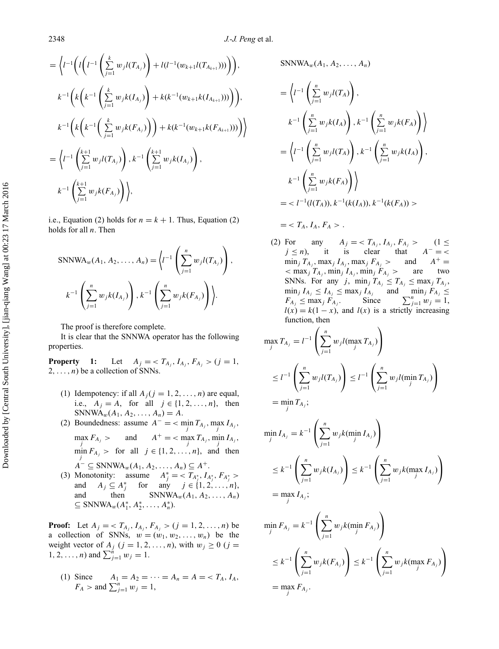$$
= \left\langle l^{-1} \left( l \left( l^{-1} \left( \sum_{j=1}^{k} w_j l(T_{A_j}) \right) + l(l^{-1}(w_{k+1}l(T_{A_{k+1}}))) \right) \right) \right\rangle,
$$
  
\n
$$
k^{-1} \left( k \left( k^{-1} \left( \sum_{j=1}^{k} w_j k(I_{A_j}) \right) + k(k^{-1}(w_{k+1}k(I_{A_{k+1}}))) \right) \right),
$$
  
\n
$$
k^{-1} \left( k \left( k^{-1} \left( \sum_{j=1}^{k} w_j k(F_{A_j}) \right) \right) + k(k^{-1}(w_{k+1}k(F_{A_{k+1}}))) \right) \right\rangle
$$
  
\n
$$
= \left\langle l^{-1} \left( \sum_{j=1}^{k+1} w_j l(T_{A_j}) \right), k^{-1} \left( \sum_{j=1}^{k+1} w_j k(I_{A_j}) \right),
$$
  
\n
$$
k^{-1} \left( \sum_{j=1}^{k+1} w_j k(F_{A_j}) \right) \right\rangle,
$$

i.e., Equation (2) holds for  $n = k + 1$ . Thus, Equation (2) holds for all *n*. Then

$$
\text{SNNWA}_{w}(A_{1}, A_{2}, \dots, A_{n}) = \left\langle l^{-1} \left( \sum_{j=1}^{n} w_{j} l(T_{A_{j}}) \right), \right. \\ k^{-1} \left( \sum_{j=1}^{n} w_{j} k(I_{A_{j}}) \right), k^{-1} \left( \sum_{j=1}^{n} w_{j} k(F_{A_{j}}) \right) \right\rangle.
$$

The proof is therefore complete.

It is clear that the SNNWA operator has the following properties.

**Property** 1: Let  $A_j = \langle T_{A_j}, I_{A_j}, F_{A_j} \rangle$  (*j* = 1*,*  $2, \ldots, n$ ) be a collection of SNNs.

- (1) Idempotency: if all  $A_j$  ( $j = 1, 2, ..., n$ ) are equal, i.e.,  $A_j = A$ , for all  $j \in \{1, 2, ..., n\}$ , then SNNWA<sub>*w*</sub>( $A_1, A_2, ..., A_n$ ) =  $A$ .
- (2) Boundedness: assume  $A^- = \sum_{j} \min_{j} T_{A_j}$ ,  $\max_{j} I_{A_j}$ ,  $\max_{j} F_{A_j} > \text{ and } A^+ = \text{ } < \max_{j} T_{A_j}, \min_{j} I_{A_j},$  $\min_{j} F_{A_j} >$  for all  $j \in \{1, 2, ..., n\}$ , and then  $A^{-} \subseteq \text{SNNWA}_{w}(A_1, A_2, \ldots, A_n) \subseteq A^{+}.$
- (3) Monotonity: assume  $A_j^* = \langle T_{A_j^*}, I_{A_j^*}, F_{A_j^*} \rangle$ and  $A_j \subseteq A_j^*$ for any  $j \in \{1, 2, ..., n\}$ , and then  $SNNWA_w(A_1, A_2, ..., A_n)$ ⊆ SNNWA<sub>*w*</sub>( $A_1^*$ ,  $A_2^*$ , ...,  $A_n^*$ ).

**Proof:** Let  $A_j = \langle T_{A_j}, I_{A_j}, F_{A_j} \rangle$  ( $j = 1, 2, ..., n$ ) be a collection of SNNs,  $w = (w_1, w_2, \ldots, w_n)$  be the weight vector of  $A_j$  ( $j = 1, 2, ..., n$ ), with  $w_j \ge 0$  ( $j =$  $1, 2, ..., n$ ) and  $\sum_{j=1}^{n} w_j = 1$ .

(1) Since  $A_1 = A_2 = \cdots = A_n = A = \langle T_A, I_A, \rangle$  $F_A >$  and  $\sum_{j=1}^{n} w_j = 1$ ,

 $SNNWA_w(A_1, A_2, ..., A_n)$ 

$$
= \left\langle l^{-1} \left( \sum_{j=1}^{n} w_j l(T_A) \right), \right. \left. k^{-1} \left( \sum_{j=1}^{n} w_j k(I_A) \right), k^{-1} \left( \sum_{j=1}^{n} w_j k(F_A) \right) \right\rangle
$$
  
\n
$$
= \left\langle l^{-1} \left( \sum_{j=1}^{n} w_j l(T_A) \right), k^{-1} \left( \sum_{j=1}^{n} w_j k(I_A) \right), \right. \left. k^{-1} \left( \sum_{j=1}^{n} w_j k(F_A) \right) \right\rangle
$$
  
\n
$$
= < l^{-1} (l(T_A)), k^{-1} (k(I_A)), k^{-1} (k(F_A)) >
$$

$$
= \langle T_A, I_A, F_A \rangle.
$$

(2) For any  $A_j = \langle T_{A_j}, I_{A_j}, F_{A_j} \rangle$  (1  $\leq$ *j* ≤ *n*), it is clear that *A*<sup>−</sup> = <  $\min_j T_{A_j}$ ,  $\max_j I_{A_j}$ ,  $\max_j F_{A_j}$  > and  $A^+$  =  $\langle$  max<sub>*j*</sub>  $T_{A_i}$ , min<sub>*j*</sub>  $I_{A_i}$ , min<sub>*j*</sub>  $F_{A_i}$  > are two SNNs. For any *j*,  $\min_j T_{A_j} \leq T_{A_j} \leq \max_j T_{A_j}$ ,  $\min_j I_{A_j} \leq I_{A_j} \leq \max_j I_{A_j}$  and  $\min_j F_{A_j} \leq$  $F_{A_j} \le \max_j F_{A_j}$ . Since  $\sum_{j=1}^n w_j = 1$ ,  $l(x) = k(1 - x)$ , and  $l(x)$  is a strictly increasing function, then

$$
\max_{j} T_{A_{j}} = l^{-1} \left( \sum_{j=1}^{n} w_{j} l(\max_{j} T_{A_{j}}) \right)
$$
  
\n
$$
\leq l^{-1} \left( \sum_{j=1}^{n} w_{j} l(T_{A_{j}}) \right) \leq l^{-1} \left( \sum_{j=1}^{n} w_{j} l(\min_{j} T_{A_{j}}) \right)
$$
  
\n
$$
= \min_{j} T_{A_{j}};
$$

$$
\min_{j} I_{A_j} = k^{-1} \left( \sum_{j=1}^{n} w_j k(\min_{j} I_{A_j}) \right)
$$
  
\n
$$
\leq k^{-1} \left( \sum_{j=1}^{n} w_j k(I_{A_j}) \right) \leq k^{-1} \left( \sum_{j=1}^{n} w_j k(\max_{j} I_{A_j}) \right)
$$
  
\n
$$
= \max_{i} I_{A_j};
$$

$$
\min_{j} F_{A_j} = k^{-1} \left( \sum_{j=1}^{n} w_j k(\min_{j} F_{A_j}) \right)
$$
  
\n
$$
\leq k^{-1} \left( \sum_{j=1}^{n} w_j k(F_{A_j}) \right) \leq k^{-1} \left( \sum_{j=1}^{n} w_j k(\max_{j} F_{A_j}) \right)
$$
  
\n
$$
= \max_{j} F_{A_j}.
$$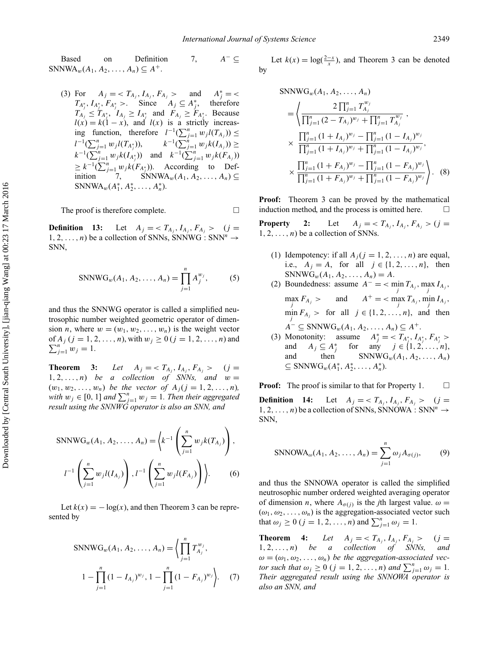Based on Definition 7, *A*<sup>−</sup> ⊆  $SNNWA_w(A_1, A_2, ..., A_n) \subseteq A^+$ .

(3) For  $A_j = \langle T_{A_j}, I_{A_j}, F_{A_j} \rangle$  and  $A_j^* = \langle$  $T_{A_i^*}, I_{A_i^*}, F_{A_i^*} >$ . Since  $A_j \subseteq A_i^*$ , therefore  $T_{A_j} \leq T_{A_j^*}, \quad I_{A_j} \geq I_{A_j^*}$  and  $F_{A_j} \geq F_{A_j^*}.$  Because  $l(x) = k(1 - x)$ , and  $l(x)$  is a strictly increasing function, therefore  $l^{-1}(\sum_{j=1}^n w_j l(T_{A_j})) \leq$ *l*<sup>-1</sup>( $\sum_{j=1}^n w_j l(T_{A_j^*})$ ),  $k^{-1}(\sum_{j=1}^n w_j k(I_{A_j}))$  ≥  $k^{-1}(\sum_{j=1}^{n} w_j k(I_{A_j^*}))$  and  $k^{-1}(\sum_{j=1}^{n} w_j k(I_{A_j}))$  $\geq k^{-1}(\sum_{j=1}^{n} w_j k(F_{A_j^*}))$ . According to Definition  $7,$  SNNWA<sub>*w*</sub>(*A*<sub>1</sub>*, A*<sub>2</sub>*,...,A<sub>n</sub>*)⊆ SNNWA<sub>*w*</sub>( $A_1^*, A_2^*, \ldots, A_n^*$ ).

The proof is therefore complete.  $\Box$ 

**Definition 13:** Let  $A_j = \langle T_{A_j}, I_{A_j}, F_{A_j} \rangle$  (*j* = 1, 2, ..., *n*) be a collection of SNNs, SNNWG : SNN<sup>n</sup>  $\rightarrow$ SNN,

$$
SNNWG_w(A_1, A_2, ..., A_n) = \prod_{j=1}^{n} A_j^{w_j},
$$
 (5)

and thus the SNNWG operator is called a simplified neutrosophic number weighted geometric operator of dimension *n*, where  $w = (w_1, w_2, \ldots, w_n)$  is the weight vector of  $A_j$  ( $j = 1, 2, ..., n$ ), with  $w_j \ge 0$  ( $j = 1, 2, ..., n$ ) and  $\sum_{j=1}^{n} w_j = 1.$ 

**Theorem 3:** *Let*  $A_j = \langle T_{A_j}, I_{A_j}, F_{A_j} \rangle$  (*j* = 1, 2, ..., *n*) *be a collection of SNNs, and*  $w =$  $(w_1, w_2, \ldots, w_n)$  *be the vector of*  $A_j$  ( $j = 1, 2, \ldots, n$ )*, with*  $w_j \in [0, 1]$  *and*  $\sum_{j=1}^n w_j = 1$ *. Then their aggregated result using the SNNWG operator is also an SNN, and*

$$
SNNWG_w(A_1, A_2, ..., A_n) = \left\{ k^{-1} \left( \sum_{j=1}^n w_j k(T_{A_j}) \right), l^{-1} \left( \sum_{j=1}^n w_j l(T_{A_j}) \right), l^{-1} \left( \sum_{j=1}^n w_j l(F_{A_j}) \right) \right\}.
$$
 (6)

Let  $k(x) = -\log(x)$ , and then Theorem 3 can be represented by

$$
\text{SNNWG}_{w}(A_1, A_2, \dots, A_n) = \left\langle \prod_{j=1}^n T_{A_j}^{w_j}, \right\rangle
$$
  

$$
1 - \prod_{j=1}^n (1 - I_{A_j})^{w_j}, 1 - \prod_{j=1}^n (1 - F_{A_j})^{w_j} \left\rangle. \tag{7}
$$

Let  $k(x) = \log(\frac{2-x}{x})$ , and Theorem 3 can be denoted by

$$
\begin{split} \text{SNNWG}_{w}(A_{1}, A_{2}, \dots, A_{n}) \\ &= \left\langle \frac{2\prod_{j=1}^{n} T_{A_{j}}^{w_{j}}}{\prod_{j=1}^{n} (2 - T_{A_{j}})^{w_{j}} + \prod_{j=1}^{n} T_{A_{j}}^{w_{j}}}, \right. \\ &\times \frac{\prod_{j=1}^{n} (1 + I_{A_{j}})^{w_{j}} - \prod_{j=1}^{n} (1 - I_{A_{j}})^{w_{j}}}{\prod_{j=1}^{n} (1 + I_{A_{j}})^{w_{j}} + \prod_{j=1}^{n} (1 - I_{A_{j}})^{w_{j}}}, \\ &\times \frac{\prod_{j=1}^{n} (1 + F_{A_{j}})^{w_{j}} - \prod_{j=1}^{n} (1 - F_{A_{j}})^{w_{j}}}{\prod_{j=1}^{n} (1 + F_{A_{j}})^{w_{j}} + \prod_{j=1}^{n} (1 - F_{A_{j}})^{w_{j}}} \right). \end{split} \tag{8}
$$

**Proof:** Theorem 3 can be proved by the mathematical induction method, and the process is omitted here.  $\Box$ 

**Property** 2: Let  $A_j = \langle T_{A_i}, I_{A_j}, F_{A_j} \rangle$  (*j* =  $1, 2, \ldots, n$  be a collection of SNNs.

- (1) Idempotency: if all  $A_i$  ( $j = 1, 2, ..., n$ ) are equal, i.e.,  $A_i = A$ , for all  $j \in \{1, 2, ..., n\}$ , then  $SNNWG_w(A_1, A_2, ..., A_n) = A.$
- (2) Boundedness: assume  $A^- = \sum_{j} \min_{j} T_{A_j}$ ,  $\max_{j} I_{A_j}$ ,  $\max_{j} F_{A_j} > \text{ and } A^+ = \text{ } < \max_{j} T_{A_j}, \min_{j} I_{A_j},$  $\min_{j} F_{A_j} > \text{for all } j \in \{1, 2, \ldots, n\}, \text{ and then}$  $A^- \subseteq \text{SNNWG}_w(A_1, A_2, \ldots, A_n) \subseteq A^+.$
- (3) Monotonity: assume  $A_j^* = \langle T_{A_j^*}, I_{A_j^*}, F_{A_j^*} \rangle$ and  $A_j \subseteq A_j^*$ *for* any  $j \in \{1, 2, ..., n\}$ , and then  $SNNWG_w(A_1, A_2, \ldots, A_n)$ ⊆ SNNWG<sub>*w*</sub>( $A_1^*, A_2^*, ..., A_n^*$ ).

**Proof:** The proof is similar to that for Property 1.  $\Box$ 

**Definition 14:** Let  $A_j = \langle T_{A_j}, I_{A_j}, F_{A_j} \rangle$  (*j* =  $1, 2, \ldots, n$  be a collection of SNNs, SNNOWA : SNN<sup>n</sup>  $\rightarrow$ SNN,

$$
\text{SNNOWA}_{\omega}(A_1, A_2, \dots, A_n) = \sum_{j=1}^n \omega_j A_{\sigma(j)},
$$
 (9)

and thus the SNNOWA operator is called the simplified neutrosophic number ordered weighted averaging operator of dimension *n*, where  $A_{\sigma(j)}$  is the *j*th largest value.  $\omega =$  $(\omega_1, \omega_2, \ldots, \omega_n)$  is the aggregation-associated vector such that  $\omega_j \ge 0$  ( $j = 1, 2, ..., n$ ) and  $\sum_{j=1}^{n} \omega_j = 1$ .

**Theorem 4:** Let  $A_j = \langle T_{A_j}, I_{A_j}, F_{A_j} \rangle$  (*j* = 1*,* 2*,...,n*) *be a collection of SNNs, and*  $\omega = (\omega_1, \omega_2, \ldots, \omega_n)$  *be the aggregation-associated vector such that*  $\omega_j \ge 0$  (*j* = 1, 2, ..., *n*) *and*  $\sum_{j=1}^n \omega_j = 1$ . *Their aggregated result using the SNNOWA operator is also an SNN, and*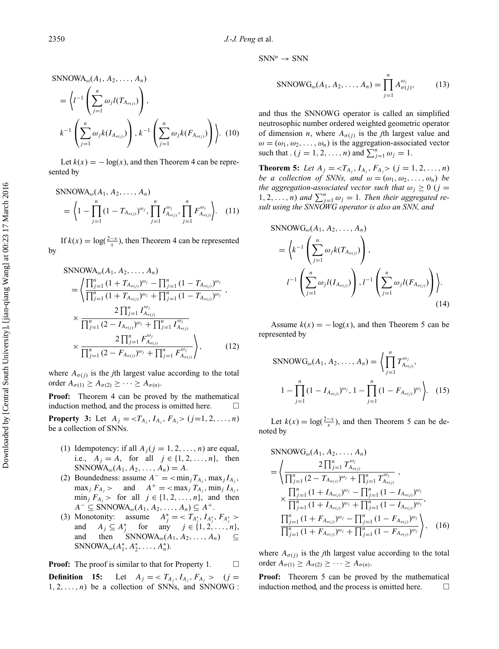$$
SNNOWA_{\omega}(A_1, A_2, ..., A_n)
$$
  
=  $\left\langle l^{-1} \left( \sum_{j=1}^n \omega_j l(T_{A_{\sigma(j)}}) \right), \right. \\$   

$$
k^{-1} \left( \sum_{j=1}^n \omega_j k(I_{A_{\sigma(j)}}) \right), k^{-1} \left( \sum_{j=1}^n \omega_j k(F_{A_{\sigma(j)}}) \right) \right\rangle.
$$
 (10)

Let  $k(x) = -\log(x)$ , and then Theorem 4 can be represented by

$$
SNNOWA_{\omega}(A_1, A_2, ..., A_n)
$$
  
=  $\left\langle 1 - \prod_{j=1}^n (1 - T_{A_{\sigma(j)}})^{\omega_j}, \prod_{j=1}^n I_{A_{\sigma(j)}}^{\omega_j}, \prod_{j=1}^n F_{A_{\sigma(j)}}^{\omega_j} \right\rangle$ . (11)

If  $k(x) = \log(\frac{2-x}{x})$ , then Theorem 4 can be represented by

$$
SNNOWA_{\omega}(A_1, A_2, ..., A_n)
$$
\n
$$
= \left\langle \frac{\prod_{j=1}^n (1 + T_{A_{\sigma(j)}})^{\omega_j} - \prod_{j=1}^n (1 - T_{A_{\sigma(j)}})^{\omega_j}}{\prod_{j=1}^n (1 + T_{A_{\sigma(j)}})^{\omega_j} + \prod_{j=1}^n (1 - T_{A_{\sigma(j)}})^{\omega_j}}, \times \frac{2 \prod_{j=1}^n I_{A_{\sigma(j)}}^{\omega_j}}{\prod_{j=1}^n (2 - I_{A_{\sigma(j)}})^{\omega_j} + \prod_{j=1}^n I_{A_{\sigma(j)}}^{\omega_j}} \times \frac{2 \prod_{j=1}^n F_{A_{\sigma(j)}}^{\omega_j}}{\prod_{j=1}^n (2 - F_{A_{\sigma(j)}})^{\omega_j} + \prod_{j=1}^n F_{A_{\sigma(j)}}^{\omega_j}} \right\rangle, \qquad (12)
$$

where  $A_{\sigma(i)}$  is the *j*th largest value according to the total order  $A_{\sigma(1)} \geq A_{\sigma(2)} \geq \cdots \geq A_{\sigma(n)}$ .

**Proof:** Theorem 4 can be proved by the mathematical induction method, and the process is omitted here.  $\Box$ 

**Property 3:** Let  $A_j = \langle T_{A_j}, I_{A_j}, F_{A_j} \rangle$  (*j*=1*,* 2*,...,n*) be a collection of SNNs.

- (1) Idempotency: if all  $A_j$  ( $j = 1, 2, ..., n$ ) are equal, i.e.,  $A_j = A$ , for all  $j \in \{1, 2, ..., n\}$ , then  $SNNOWA_{\omega}(A_1, A_2, ..., A_n) = A.$
- (2) Boundedness: assume  $A^- = \langle \min_j T_{A_j}, \max_j I_{A_j},$  $\max_j F_{A_j}$  > and  $A^+ = \text{max}_j T_{A_j}$ ,  $\min_j I_{A_j}$ ,  $\min_j F_{A_j}$  > for all  $j \in \{1, 2, \ldots, n\}$ , and then  $A^{-} \subseteq \text{SNNOWA}_{\omega}(A_1, A_2, \ldots, A_n) \subseteq A^{+}.$
- (3) Monotonity: assume  $A_j^* = \langle T_{A_j^*}, I_{A_j^*}, F_{A_j^*} \rangle$ and  $A_j \subseteq A_j^*$  for any  $j \in \{1, 2, ..., n\}$ , and then SNNOWA<sub>ω</sub>( $A_1, A_2, ..., A_n$ ) ⊆  $SNNOWA_{\omega}(A_1^*, A_2^*, \ldots, A_n^*)$ .

**Proof:** The proof is similar to that for Property 1.  $\Box$ **Definition 15:** Let  $A_j = \langle T_{A_j}, I_{A_j}, F_{A_j} \rangle$  (*j* =  $1, 2, \ldots, n$  be a collection of SNNs, and SNNOWG :  $SNN^n \rightarrow SNN$ 

$$
\text{SNNOWG}_{\omega}(A_1, A_2, \dots, A_n) = \prod_{j=1}^n A_{\sigma(j)}^{\omega_j},\tag{13}
$$

and thus the SNNOWG operator is called an simplified neutrosophic number ordered weighted geometric operator of dimension *n*, where  $A_{\sigma(j)}$  is the *j*th largest value and  $\omega = (\omega_1, \omega_2, \dots, \omega_n)$  is the aggregation-associated vector such that  $(j = 1, 2, \ldots, n)$  and  $\sum_{j=1}^{n} \omega_j = 1$ .

**Theorem 5:** Let  $A_j = \langle T_{A_j}, I_{A_j}, F_{A_j} \rangle$  ( $j = 1, 2, ..., n$ ) *be a collection of SNNs, and*  $\omega = (\omega_1, \omega_2, \dots, \omega_n)$  *be the aggregation-associated vector such that*  $\omega_i \geq 0$  (*j* = 1, 2, ..., *n*) and  $\sum_{j=1}^{n} \omega_j = 1$ . Then their aggregated re*sult using the SNNOWG operator is also an SNN, and*

$$
SNNOWG_{\omega}(A_1, A_2, \dots, A_n)
$$
  
=  $\left\langle k^{-1} \left( \sum_{j=1}^n \omega_j k(T_{A_{\sigma(j)}}) \right), \right. \left. \right\rangle$   

$$
l^{-1} \left( \sum_{j=1}^n \omega_j l(I_{A_{\sigma(j)}}) \right), l^{-1} \left( \sum_{j=1}^n \omega_j l(F_{A_{\sigma(j)}}) \right) \right\rangle.
$$
 (14)

Assume  $k(x) = -\log(x)$ , and then Theorem 5 can be represented by

$$
\text{SNNOWG}_{\omega}(A_1, A_2, \dots, A_n) = \left\langle \prod_{j=1}^n T_{A_{\sigma(j)}}^{\omega_j}, \right.\n1 - \prod_{j=1}^n (1 - I_{A_{\sigma(j)}})^{\omega_j}, 1 - \prod_{j=1}^n (1 - F_{A_{\sigma(j)}})^{\omega_j} \right\rangle. \quad (15)
$$

Let  $k(x) = \log(\frac{2-x}{x})$ , and then Theorem 5 can be denoted by

$$
SNNOWG_{\omega}(A_1, A_2, ..., A_n)
$$
\n
$$
= \left\langle \frac{2 \prod_{j=1}^n T_{A_{\sigma(j)}}^{\omega_j}}{\prod_{j=1}^n (2 - T_{A_{\sigma(j)}})^{\omega_j} + \prod_{j=1}^n T_{A_{\sigma(j)}}^{\omega_j}}, \times \frac{\prod_{j=1}^n (1 + I_{A_{\sigma(j)}})^{\omega_j} - \prod_{j=1}^n (1 - I_{A_{\sigma(j)}})^{\omega_j}}{\prod_{j=1}^n (1 + I_{A_{\sigma(j)}})^{\omega_j} + \prod_{j=1}^n (1 - I_{A_{\sigma(j)}})^{\omega_j}}, \times \frac{\prod_{j=1}^n (1 + F_{A_{\sigma(j)}})^{\omega_j} - \prod_{j=1}^n (1 - F_{A_{\sigma(j)}})^{\omega_j}}{\prod_{j=1}^n (1 + F_{A_{\sigma(j)}})^{\omega_j} + \prod_{j=1}^n (1 - F_{A_{\sigma(j)}})^{\omega_j}} \right\rangle, \quad (16)
$$

where  $A_{\sigma(i)}$  is the *j*th largest value according to the total order  $A_{\sigma(1)} \geq A_{\sigma(2)} \geq \cdots \geq A_{\sigma(n)}$ .

**Proof:** Theorem 5 can be proved by the mathematical induction method, and the process is omitted here.  $\Box$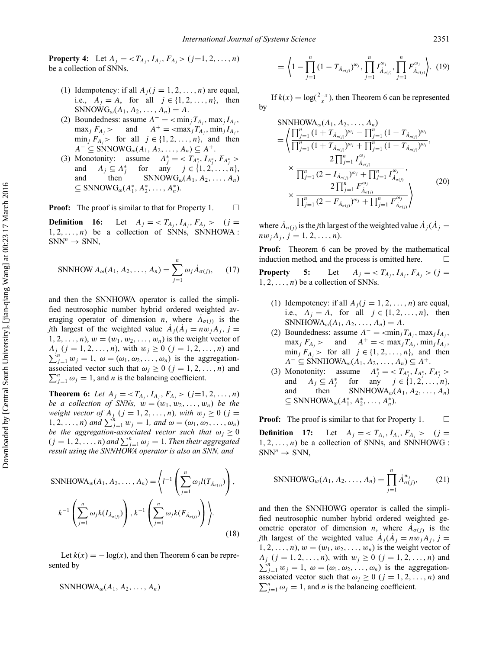**Property 4:** Let  $A_j = \langle T_{A_j}, I_{A_j}, F_{A_j} \rangle$  (*j*=1*,* 2*,...,n*) be a collection of SNNs.

- (1) Idempotency: if all  $A_i$  ( $j = 1, 2, ..., n$ ) are equal, i.e.,  $A_j = A$ , for all  $j \in \{1, 2, ..., n\}$ , then  $SNNOWG_{\omega}(A_1, A_2, \ldots, A_n) = A.$
- (2) Boundedness: assume  $A^- = \langle \min_i T_{A_i}, \max_i I_{A_i} \rangle$  $\max_j F_{A_j}$  > and  $A^+$  =  $\langle \max_j T_{A_j}, \min_j I_{A_j},$  $\min_j F_{A_j}$  for all  $j \in \{1, 2, \ldots, n\}$ , and then  $A^-$  ⊆ SNNOW $G_\omega(A_1, A_2, ..., A_n)$  ⊆  $A^+$ .
- (3) Monotonity: assume  $A_j^* = \langle T_{A_j^*}, I_{A_j^*}, F_{A_j^*} \rangle$ and  $A_j \subseteq A_j^*$ for any  $j \in \{1, 2, ..., n\}$ , and then SNNOW $G_{\omega}(A_1, A_2, \ldots, A_n)$  $\subseteq$  SNNOW $G_{\omega}(A_1^*, A_2^*, \ldots, A_n^*)$ .

**Proof:** The proof is similar to that for Property 1.  $\Box$ 

**Definition 16:** Let  $A_j = \langle T_{A_j}, I_{A_j}, F_{A_j} \rangle$  (*j* =  $1, 2, \ldots, n$ ) be a collection of SNNs, SNNHOWA :  $SNN^n \rightarrow SNN$ ,

$$
\text{SNNHOW } A_{\omega}(A_1, A_2, \dots, A_n) = \sum_{j=1}^n \omega_j \dot{A}_{\sigma(j)}, \qquad (17)
$$

and then the SNNHOWA operator is called the simplified neutrosophic number hybrid ordered weighted averaging operator of dimension *n*, where  $A_{\sigma(i)}$  is the *j*th largest of the weighted value  $A_i (A_i = nw_i A_j, j = j$  $1, 2, \ldots, n$ ,  $w = (w_1, w_2, \ldots, w_n)$  is the weight vector of  $A_j$  (*j* = 1*,* 2*,...,n*), with  $w_j \ge 0$  (*j* = 1*,* 2*,...,n*) and  $\sum_{j=1}^{n} w_j = 1$ ,  $\omega = (\omega_1, \omega_2, \dots, \omega_n)$  is the aggregationassociated vector such that  $\omega_j \ge 0$  ( $j = 1, 2, ..., n$ ) and  $\sum_{i=1}^{n} \omega_i = 1$ , and *n* is the balancing coefficient.  $\sum_{j=1}^{n} \omega_j = 1$ , and *n* is the balancing coefficient.

**Theorem 6:** Let  $A_j = \langle T_{A_j}, I_{A_j}, F_{A_j} \rangle$  (*j*=1*,* 2*,...,n*) *be a collection of SNNs,*  $w = (w_1, w_2, \ldots, w_n)$  *be the weight vector of*  $A_j$  ( $j = 1, 2, ..., n$ )*, with*  $w_j \ge 0$  ( $j =$ 1, 2, ..., *n*) and  $\sum_{j=1}^{n} w_j = 1$ , and  $\omega = (\omega_1, \omega_2, ..., \omega_n)$ *be the aggregation-associated vector such that*  $\omega_i \geq 0$  $(j = 1, 2, ..., n)$  and  $\sum_{j=1}^{n} \omega_j = 1$ . Then their aggregated *result using the SNNHOWA operator is also an SNN, and*

$$
\text{SNNHOWA}_{w}(A_1, A_2, \dots, A_n) = \left\langle l^{-1} \left( \sum_{j=1}^n \omega_j l(T_{\dot{A}_{\sigma(j)}}) \right), \right. \\
k^{-1} \left( \sum_{j=1}^n \omega_j k(I_{\dot{A}_{\sigma(j)}}) \right), k^{-1} \left( \sum_{j=1}^n \omega_j k(F_{\dot{A}_{\sigma(j)}}) \right) \right\rangle.
$$
\n(18)

Let  $k(x) = -\log(x)$ , and then Theorem 6 can be represented by

$$
SNNHOWA_{\omega}(A_1, A_2, \ldots, A_n)
$$

$$
= \left\langle 1 - \prod_{j=1}^{n} (1 - T_{\dot{A}_{\sigma(j)}})^{\omega_j}, \prod_{j=1}^{n} I_{\dot{A}_{\sigma(j)}}^{\omega_j}, \prod_{j=1}^{n} F_{\dot{A}_{\sigma(j)}}^{\omega_j} \right\rangle. (19)
$$

If  $k(x) = \log(\frac{2-x}{x})$ , then Theorem 6 can be represented by

$$
\begin{split} \n\text{SNNHOWA}_{\omega}(A_{1}, A_{2}, \dots, A_{n}) \\ \n&= \left\langle \frac{\prod_{j=1}^{n} (1 + T_{\dot{A}_{\sigma(j)}})^{\omega_{j}} - \prod_{j=1}^{n} (1 - T_{\dot{A}_{\sigma(j)}})^{\omega_{j}}}{\prod_{j=1}^{n} (1 + T_{\dot{A}_{\sigma(j)}})^{\omega_{j}} + \prod_{j=1}^{n} (1 - T_{\dot{A}_{\sigma(j)}})^{\omega_{j}}, \\ \n&\times \frac{2 \prod_{j=1}^{n} I_{\dot{A}_{\sigma(j)}}^{\omega_{j}}}{\prod_{j=1}^{n} (2 - I_{\dot{A}_{\sigma(j)}})^{\omega_{j}} + \prod_{j=1}^{n} I_{\dot{A}_{\sigma(j)}}^{\omega_{j}}}, \\ \n&\times \frac{2 \prod_{j=1}^{n} F_{\dot{A}_{\sigma(j)}}^{\omega_{j}}}{\prod_{j=1}^{n} (2 - F_{\dot{A}_{\sigma(j)}})^{\omega_{j}} + \prod_{j=1}^{n} F_{\dot{A}_{\sigma(j)}}^{\omega_{j}}} \right\rangle \n\end{split} \tag{20}
$$

where  $\dot{A}_{\sigma(i)}$  is the *j*th largest of the weighted value  $\dot{A}_i(\dot{A}_i)$  $nw_i A_i, j = 1, 2, ..., n$ .

**Proof:** Theorem 6 can be proved by the mathematical induction method, and the process is omitted here.

**Property** 5: Let  $A_j = \langle T_{A_j}, I_{A_j}, F_{A_j} \rangle$  (*j* =  $1, 2, \ldots, n$  be a collection of SNNs.

- (1) Idempotency: if all  $A_j$  ( $j = 1, 2, ..., n$ ) are equal, i.e.,  $A_j = A$ , for all  $j \in \{1, 2, ..., n\}$ , then SNNHOW $A_{\omega}(A_1, A_2, \ldots, A_n) = A$ .
- (2) Boundedness: assume  $A^- = \langle \min_j T_{A_j}, \max_j I_{A_j},$  $\max_j F_{A_j}$  > and  $A^+$  = <  $\max_j T_{A_j}$ ,  $\min_j I_{A_j}$ ,  $\min_j F_{A_j}$  > for all  $j \in \{1, 2, \ldots, n\}$ , and then  $A^-$  ⊆ SNNHOWA<sub>ω</sub> $(A_1, A_2, ..., A_n)$  ⊆  $A^+$ .
- (3) Monotonity: assume  $A_j^* = \langle T_{A_j^*}, I_{A_j^*}, F_{A_j^*} \rangle$ and  $A_j \subseteq A_j^*$  for any  $j \in \{1, 2, ..., n\}$ , and then SNNHOWA<sub>*ω*</sub>( $A_1, A_2, ..., A_n$ )  $\subseteq$  SNNHOWA<sub>ω</sub> $(A_1^*, A_2^*, \ldots, A_n^*)$ .

**Proof:** The proof is similar to that for Property 1.  $\Box$ 

**Definition** 17: Let  $A_j = \langle T_{A_j}, I_{A_j}, F_{A_j} \rangle$  (*j* =  $1, 2, \ldots, n$ ) be a collection of SNNs, and SNNHOWG :  $SNN<sup>n</sup> \rightarrow SNN$ ,

$$
\text{SNNHOWG}_{w}(A_1, A_2, \dots, A_n) = \prod_{j=1}^{n} \dot{A}_{\sigma(j)}^{w_j},\tag{21}
$$

and then the SNNHOWG operator is called the simplified neutrosophic number hybrid ordered weighted geometric operator of dimension *n*, where  $\dot{A}_{\sigma(j)}$  is the *j*th largest of the weighted value  $\dot{A}_j (\dot{A}_j = n w_j A_j, j = j)$  $1, 2, \ldots, n$ ,  $w = (w_1, w_2, \ldots, w_n)$  is the weight vector of  $A_j$  (*j* = 1*,* 2*,...,n*), with  $w_j \ge 0$  (*j* = 1*,* 2*,...,n*) and  $\sum_{j=1}^{n} w_j = 1$ ,  $\omega = (\omega_1, \omega_2, \dots, \omega_n)$  is the aggregationassociated vector such that  $\omega_j \ge 0$  ( $j = 1, 2, ..., n$ ) and  $\sum_{i=1}^{n} \omega_i = 1$ , and *n* is the balancing coefficient.  $\sum_{i=1}^{n} \omega_j = 1$ , and *n* is the balancing coefficient.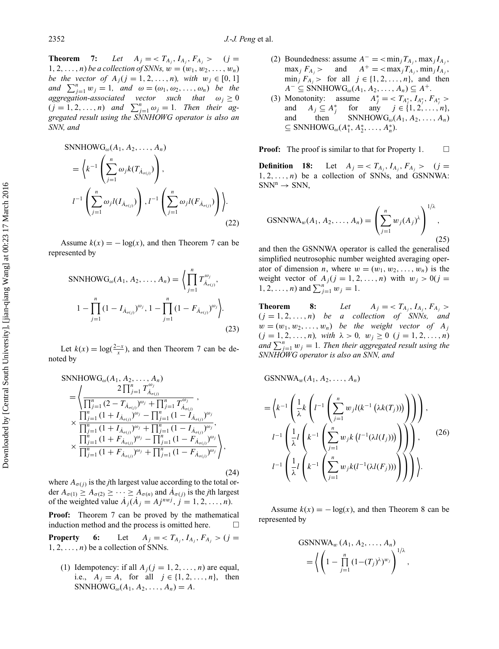**Theorem** 7: Let  $A_j = \langle T_{A_j}, I_{A_j}, F_{A_j} \rangle$  (*j* = 1, 2,  $\dots$ , *n*) *be a collection of SNNs*,  $w = (w_1, w_2, \dots, w_n)$ *be the vector of*  $A_j$  ( $j = 1, 2, ..., n$ )*, with*  $w_j \in [0, 1]$ *and*  $\sum_{j=1}^{n} w_j = 1$ *, and*  $\omega = (\omega_1, \omega_2, \dots, \omega_n)$  *be the aggregation-associated vector such that*  $\omega_i \geq 0$  $(j = 1, 2, \ldots, n)$  *and*  $\sum_{j=1}^{n} \omega_j = 1$ *. Then their aggregated result using the SNNHOWG operator is also an SNN, and*

$$
\text{SNNHOWG}_{\omega}(A_1, A_2, \dots, A_n)
$$
\n
$$
= \left\langle k^{-1} \left( \sum_{j=1}^n \omega_j k(T_{\dot{A}_{\sigma(j)}}) \right), \right. \\
l^{-1} \left( \sum_{j=1}^n \omega_j l(I_{\dot{A}_{\sigma(j)}}) \right), l^{-1} \left( \sum_{j=1}^n \omega_j l(F_{\dot{A}_{\sigma(j)}}) \right) \right\rangle.
$$
\n(22)

Assume  $k(x) = -\log(x)$ , and then Theorem 7 can be represented by

$$
\text{SNNHOWG}_{\omega}(A_1, A_2, \dots, A_n) = \left\langle \prod_{j=1}^n T_{\hat{A}_{\sigma(j)}}^{\omega_j}, 1 - \prod_{j=1}^n (1 - F_{\hat{A}_{\sigma(j)}})^{\omega_j} \right\rangle.
$$
\n
$$
1 - \prod_{j=1}^n (1 - I_{\hat{A}_{\sigma(j)}})^{\omega_j}, 1 - \prod_{j=1}^n (1 - F_{\hat{A}_{\sigma(j)}})^{\omega_j}.
$$
\n(23)

Let  $k(x) = \log(\frac{2-x}{x})$ , and then Theorem 7 can be denoted by

$$
\begin{split} \text{SNNHOWG}_{\omega}(A_{1}, A_{2}, \dots, A_{n}) \\ &= \left\langle \frac{2 \prod_{j=1}^{n} T_{\dot{A}_{\sigma(j)}}^{\omega_{j}}}{\prod_{j=1}^{n} (2 - T_{\dot{A}_{\sigma(j)}})^{\omega_{j}} + \prod_{j=1}^{n} T_{\dot{A}_{\sigma(j)}}^{\omega_{j}}}, \right. \\ &\times \frac{\prod_{j=1}^{n} (1 + I_{\dot{A}_{\sigma(j)}})^{\omega_{j}} - \prod_{j=1}^{n} (1 - I_{\dot{A}_{\sigma(j)}})^{\omega_{j}}}{\prod_{j=1}^{n} (1 + I_{\dot{A}_{\sigma(j)}})^{\omega_{j}} + \prod_{j=1}^{n} (1 - I_{\dot{A}_{\sigma(j)}})^{\omega_{j}}}, \\ &\times \frac{\prod_{j=1}^{n} (1 + F_{\dot{A}_{\sigma(j)}})^{\omega_{j}} - \prod_{j=1}^{n} (1 - F_{\dot{A}_{\sigma(j)}})^{\omega_{j}}}{\prod_{j=1}^{n} (1 + F_{\dot{A}_{\sigma(j)}})^{\omega_{j}} + \prod_{j=1}^{n} (1 - F_{\dot{A}_{\sigma(j)}})^{\omega_{j}}}, \end{split}
$$

where  $A_{\sigma(i)}$  is the *j*th largest value according to the total order  $A_{\sigma(1)} \geq A_{\sigma(2)} \geq \cdots \geq A_{\sigma(n)}$  and  $\dot{A}_{\sigma(j)}$  is the *j*th largest of the weighted value  $\dot{A}_i (\dot{A}_i = A_j^{n w j}, j = 1, 2, \ldots, n)$ .

(24)

**Proof:** Theorem 7 can be proved by the mathematical induction method and the process is omitted here.  $\Box$ **Property** 6: Let  $A_j = \langle T_{A_j}, I_{A_j}, F_{A_j} \rangle$  (*j* =

 $1, 2, \ldots, n$  be a collection of SNNs.

(1) Idempotency: if all  $A_i$  ( $j = 1, 2, ..., n$ ) are equal, i.e.,  $A_j = A$ , for all  $j \in \{1, 2, ..., n\}$ , then SNNHOW $G_{\omega}(A_1, A_2, ..., A_n) = A$ .

- (2) Boundedness: assume  $A^- = \langle \min_j T_{A_i}, \max_j I_{A_j},$  $\max_j F_{A_j}$  > and  $A^+$  = < $\max_j T_{A_j}$ ,  $\min_j I_{A_j}$ ,  $\min_j F_{A_j}$  > for all  $j \in \{1, 2, ..., n\}$ , and then  $A^-$  ⊆ SNNHOWG<sub>ω</sub>( $A_1, A_2, ..., A_n$ ) ⊆  $A^+$ .
- (3) Monotonity: assume  $A_j^* = \langle T_{A_j^*}, I_{A_j^*}, F_{A_j^*} \rangle$ and  $A_j \subseteq A_j^*$ *for* any  $j \in \{1, 2, ..., n\}$ , and then SNNHOW $G_{\omega}(A_1, A_2, \ldots, A_n)$  $\subseteq$  SNNHOW $G_{\omega}(A_1^*, A_2^*, \ldots, A_n^*)$ .

**Proof:** The proof is similar to that for Property 1.  $\Box$ 

**Definition 18:** Let  $A_j = \langle T_{A_j}, I_{A_j}, F_{A_j} \rangle$  (*j* =  $1, 2, \ldots, n$  be a collection of SNNs, and GSNNWA:  $SNN^n \rightarrow SNN$ ,

GSNNWA<sub>w</sub>(A<sub>1</sub>, A<sub>2</sub>,..., A<sub>n</sub>) = 
$$
\left(\sum_{j=1}^{n} w_j (A_j)^{\lambda}\right)^{1/\lambda}
$$
, (25)

and then the GSNNWA operator is called the generalised simplified neutrosophic number weighted averaging operator of dimension *n*, where  $w = (w_1, w_2, \ldots, w_n)$  is the weight vector of  $A_j$  ( $j = 1, 2, ..., n$ ) with  $w_j > 0$  ( $j =$  $1, 2, \ldots, n$ ) and  $\sum_{j=1}^{n} w_j = 1$ .

**Theorem 8:** *Let*  $A_j = \langle T_{A_j}, I_{A_j}, F_{A_j} \rangle$  $(j = 1, 2, \ldots, n)$  *be a collection of SNNs, and*  $w = (w_1, w_2, \ldots, w_n)$  *be the weight vector of*  $A_j$  $(j = 1, 2, ..., n)$ *, with*  $\lambda > 0$ *, w<sub>j</sub>*  $\geq 0$   $(j = 1, 2, ..., n)$ *and*  $\sum_{j=1}^{n} w_j = 1$ *. Then their aggregated result using the SNNHOWG operator is also an SNN, and*

GSNNWA<sub>w</sub>(A<sub>1</sub>, A<sub>2</sub>,..., A<sub>n</sub>)  
\n=
$$
\left\langle k^{-1} \left( \frac{1}{\lambda} k \left( l^{-1} \left( \sum_{j=1}^{n} w_j l(k^{-1} (\lambda k(T_j))) \right) \right) \right) \right),
$$
  
\n $l^{-1} \left( \frac{1}{\lambda} l \left( k^{-1} \left( \sum_{j=1}^{n} w_j k (l^{-1} (\lambda l(I_j))) \right) \right) \right),$  (26)  
\n $l^{-1} \left( \frac{1}{\lambda} l \left( k^{-1} \left( \sum_{j=1}^{n} w_j k (l^{-1} (\lambda l(F_j))) \right) \right) \right) \right).$ 

Assume  $k(x) = -\log(x)$ , and then Theorem 8 can be represented by

$$
GSNNWA_w (A_1, A_2, \ldots, A_n)
$$
  
=  $\left\langle \left(1 - \prod_{j=1}^n (1 - (T_j)^{\lambda})^{w_j}\right)^{1/\lambda},\right.\right.$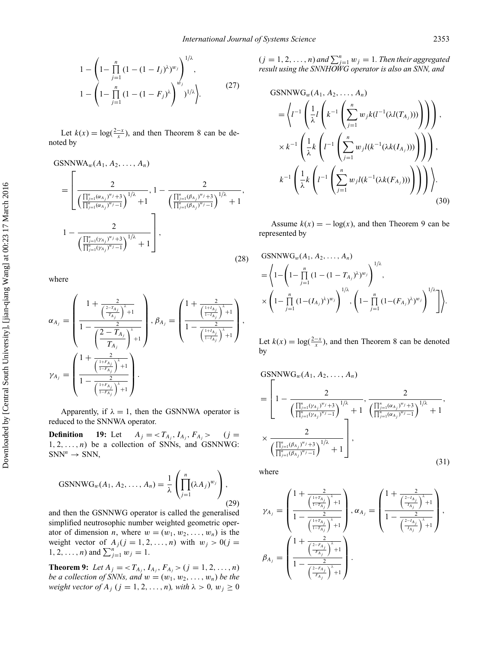$$
1 - \left(1 - \prod_{j=1}^{n} (1 - (1 - I_j)^{\lambda})^{w_j}\right)^{1/\lambda},
$$
  
\n
$$
1 - \left(1 - \prod_{j=1}^{n} (1 - (1 - F_j)^{\lambda})^{w_j}\right)^{1/\lambda}.
$$
\n(27)

Let  $k(x) = \log(\frac{2-x}{x})$ , and then Theorem 8 can be denoted by

$$
GSNNWA_{w}(A_{1}, A_{2},..., A_{n})
$$
\n
$$
= \left[\frac{2}{\left(\frac{\prod_{j=1}^{n}(\alpha_{A_{j}})^{w_{j}}+3}{\prod_{j=1}^{n}(\alpha_{A_{j}})^{w_{j}}-1}\right)^{1/\lambda}+1}, 1-\frac{2}{\left(\frac{\prod_{j=1}^{n}(\beta_{A_{j}})^{w_{j}}+3}{\prod_{j=1}^{n}(\beta_{A_{j}})^{w_{j}}-1}\right)^{1/\lambda}+1}, \frac{2}{\left(\frac{\prod_{j=1}^{n}(\gamma_{A_{j}})^{w_{j}}+3}{\prod_{j=1}^{n}(\gamma_{A_{j}})^{w_{j}}-1}\right)^{1/\lambda}+1}\right],
$$
\n(28)

where

$$
\alpha_{A_j} = \left(\frac{1 + \frac{2}{\left(\frac{2 - T_{A_j}}{T_{A_j}}\right)^{\lambda} + 1}}{1 - \frac{2}{\left(\frac{2 - T_{A_j}}{T_{A_j}}\right)^{\lambda} + 1}}\right), \beta_{A_j} = \left(\frac{1 + \frac{2}{\left(\frac{1 + I_{A_j}}{1 - I_{A_j}}\right)^{\lambda} + 1}}{1 - \frac{2}{\left(\frac{1 + I_{A_j}}{1 - I_{A_j}}\right)^{\lambda} + 1}}\right),
$$
  

$$
\gamma_{A_j} = \left(\frac{1 + \frac{2}{\left(\frac{1 + I_{A_j}}{1 - I_{A_j}}\right)^{\lambda} + 1}}{1 - \frac{2}{\left(\frac{1 + I_{A_j}}{1 - I_{A_j}}\right)^{\lambda} + 1}}\right).
$$

Apparently, if  $\lambda = 1$ , then the GSNNWA operator is reduced to the SNNWA operator.

**Definition 19:** Let  $A_j = \langle T_{A_j}, I_{A_j}, F_{A_j} \rangle$  (*j* =  $1, 2, \ldots, n$  be a collection of SNNs, and GSNNWG:  $SNN<sup>n</sup> \rightarrow SNN$ ,

$$
GSNNWG_w(A_1, A_2, \dots, A_n) = \frac{1}{\lambda} \left( \prod_{j=1}^n (\lambda A_j)^{w_j} \right),
$$
\n(29)

and then the GSNNWG operator is called the generalised simplified neutrosophic number weighted geometric operator of dimension *n*, where  $w = (w_1, w_2, \ldots, w_n)$  is the weight vector of  $A_j$  ( $j = 1, 2, ..., n$ ) with  $w_j > 0$  ( $j =$  $1, 2, ..., n$ ) and  $\sum_{j=1}^{n} w_j = 1$ .

**Theorem 9:** Let  $A_j = \langle T_{A_j}, I_{A_j}, F_{A_j} \rangle$  ( $j = 1, 2, ..., n$ ) *be a collection of SNNs, and*  $w = (w_1, w_2, \ldots, w_n)$  *be the weight vector of*  $A_j$  ( $j = 1, 2, ..., n$ )*, with*  $\lambda > 0$ *, w<sub>j</sub>*  $\geq 0$ 

 $(j = 1, 2, ..., n)$  and  $\sum_{j=1}^{n} w_j = 1$ . Then their aggregated *result using the SNNHOWG operator is also an SNN, and*

GSNNWG<sub>w</sub>(A<sub>1</sub>, A<sub>2</sub>,..., A<sub>n</sub>)  
\n=
$$
\left\{l^{-1}\left(\frac{1}{\lambda}l\left(k^{-1}\left(\sum_{j=1}^{n}w_{j}k(l^{-1}(\lambda l(T_{A_{j}})))\right)\right)\right)\right),\right.
$$
  
\n $\times k^{-1}\left(\frac{1}{\lambda}k\left(l^{-1}\left(\sum_{j=1}^{n}w_{j}l(k^{-1}(\lambda k(I_{A_{j}})))\right)\right)\right),\right.$   
\n $k^{-1}\left(\frac{1}{\lambda}k\left(l^{-1}\left(\sum_{j=1}^{n}w_{j}l(k^{-1}(\lambda k(F_{A_{j}})))\right)\right)\right),\right).$ \n(30)

Assume  $k(x) = -\log(x)$ , and then Theorem 9 can be represented by

GSNNWG<sub>w</sub>(A<sub>1</sub>, A<sub>2</sub>,..., A<sub>n</sub>)  
= 
$$
\left\langle 1 - \left( 1 - \prod_{j=1}^{n} (1 - (1 - T_{A_j})^{\lambda})^{w_j} \right)^{1/\lambda}, \times \left( 1 - \prod_{j=1}^{n} (1 - (I_{A_j})^{\lambda})^{w_j} \right)^{1/\lambda}, \left( 1 - \prod_{j=1}^{n} (1 - (F_{A_j})^{\lambda})^{w_j} \right)^{1/\lambda} \right] \right\rangle.
$$

Let  $k(x) = \log(\frac{2-x}{x})$ , and then Theorem 8 can be denoted by

$$
GSNNWG_w(A_1, A_2, ..., A_n)
$$
\n
$$
= \left[1 - \frac{2}{\left(\frac{\prod_{j=1}^n (\gamma_{A_j})^{w_j} + 3}{\prod_{j=1}^n (\gamma_{A_j})^{w_j} - 1}\right)^{1/\lambda}} + 1 \cdot \frac{2}{\left(\frac{\prod_{j=1}^n (\alpha_{A_j})^{w_j} + 3}{\prod_{j=1}^n (\alpha_{A_j})^{w_j} - 1}\right)^{1/\lambda}} + 1 \cdot \frac{2}{\left(\frac{\prod_{j=1}^n (\beta_{A_j})^{w_j} + 3}{\prod_{j=1}^n (\beta_{A_j})^{w_j} - 1}\right)^{1/\lambda}} + 1 \cdot \frac{2}{\left(\frac{\prod_{j=1}^n (\beta_{A_j})^{w_j} - 3}{\prod_{j=1}^n (\beta_{A_j})^{w_j} - 1}\right)^{1/\lambda}} \cdot (31)
$$

where

$$
\gamma_{A_j}=\begin{pmatrix}1+\frac{2}{\left(\frac{1+T_{A_j}}{1-T_{A_j}}\right)^{\lambda}+1}\\\frac{2}{1-\frac{2}{\left(\frac{1+T_{A_j}}{1-T_{A_j}}\right)^{\lambda}+1}}\end{pmatrix},\alpha_{A_j}=\begin{pmatrix}1+\frac{2}{\left(\frac{2-I_{A_j}}{T_{A_j}}\right)^{\lambda}+1}\\\frac{2}{1-\frac{2}{\left(\frac{2-I_{A_j}}{T_{A_j}}\right)^{\lambda}+1}}\end{pmatrix},\\ \beta_{A_j}=\begin{pmatrix}1+\frac{2}{\left(\frac{2-F_{A_j}}{F_{A_j}}\right)^{\lambda}+1}\\\frac{2}{1-\frac{2}{\left(\frac{2-F_{A_j}}{F_{A_j}}\right)^{\lambda}+1}}\end{pmatrix}.
$$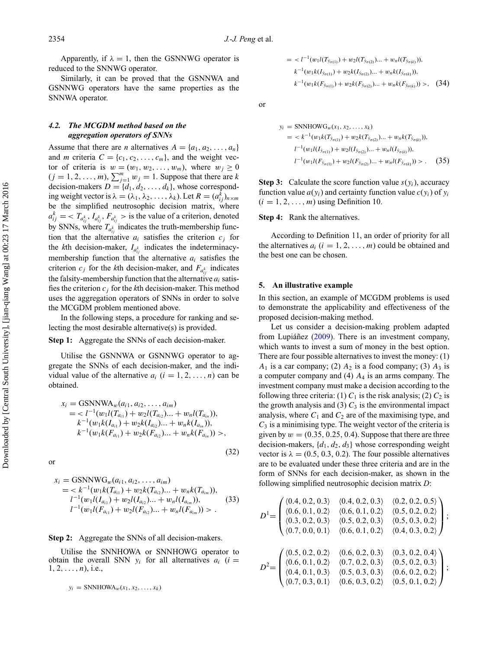Apparently, if  $\lambda = 1$ , then the GSNNWG operator is reduced to the SNNWG operator.

Similarly, it can be proved that the GSNNWA and GSNNWG operators have the same properties as the SNNWA operator.

# *4.2. The MCGDM method based on the aggregation operators of SNNs*

Assume that there are *n* alternatives  $A = \{a_1, a_2, \ldots, a_n\}$ and *m* criteria  $C = \{c_1, c_2, \ldots, c_m\}$ , and the weight vector of criteria is  $w = (w_1, w_2, \ldots, w_m)$ , where  $w_j \ge 0$  $(j = 1, 2, ..., m)$ ,  $\sum_{j=1}^{m} w_j = 1$ . Suppose that there are *k* decision-makers  $D = \{d_1, d_2, \ldots, d_k\}$ , whose corresponding weight vector is  $\lambda = (\lambda_1, \lambda_2, \dots, \lambda_k)$ . Let  $R = (a_{ij}^{\hat{k}})_{n \times m}$ be the simplified neutrosophic decision matrix, where  $a_{ij}^k = \langle T_{a_{ij}^k}, I_{a_{ij}^k}, F_{a_{ij}^k} \rangle$  is the value of a criterion, denoted by SNNs, where  $T_{a_{ij}^k}$  indicates the truth-membership function that the alternative  $a_i$  satisfies the criterion  $c_j$  for the *k*th decision-maker,  $I_{a_{ij}^k}$  indicates the indeterminacymembership function that the alternative *ai* satisfies the criterion  $c_j$  for the *k*th decision-maker, and  $F_{a_{ij}^k}$  indicates the falsity-membership function that the alternative  $a_i$  satisfies the criterion *cj* for the *k*th decision-maker. This method uses the aggregation operators of SNNs in order to solve the MCGDM problem mentioned above.

In the following steps, a procedure for ranking and selecting the most desirable alternative(s) is provided.

## **Step 1:** Aggregate the SNNs of each decision-maker.

Utilise the GSNNWA or GSNNWG operator to aggregate the SNNs of each decision-maker, and the individual value of the alternative  $a_i$   $(i = 1, 2, ..., n)$  can be obtained.

$$
x_i = \text{GSNNWA}_{w}(a_{i1}, a_{i2}, \dots, a_{im})
$$
  
=  $l^{-1}(w_1 l(T_{a_{i1}}) + w_2 l(T_{a_{i2}}) ... + w_n l(T_{a_{in}})),$   
 $k^{-1}(w_1 k(I_{a_{i1}}) + w_2 k(I_{a_{i2}}) ... + w_n k(I_{a_{in}})),$   
 $k^{-1}(w_1 k(F_{a_{i1}}) + w_2 k(F_{a_{i2}}) ... + w_n k(F_{a_{in}})) >$ ,

(32)

or

$$
x_i = \text{GSNNWG}_{w}(a_{i1}, a_{i2}, \dots, a_{im})
$$
  
=  $\langle k^{-1}(w_1 k(T_{a_{i1}}) + w_2 k(T_{a_{i2}}) ... + w_n k(T_{a_{im}})),$   
 $l^{-1}(w_1 l(I_{a_{i1}}) + w_2 l(I_{a_{i2}}) ... + w_n l(I_{a_{im}})),$   
 $l^{-1}(w_1 l(F_{a_{i1}}) + w_2 l(F_{a_{i2}}) ... + w_n l(F_{a_{im}})) > .$  (33)

#### **Step 2:** Aggregate the SNNs of all decision-makers.

Utilise the SNNHOWA or SNNHOWG operator to obtain the overall SNN  $y_i$  for all alternatives  $a_i$  ( $i =$  $1, 2, \ldots, n$ , i.e.,

$$
y_i = \text{SNNHOWA}_w(x_1, x_2, \dots, x_k)
$$

$$
= l-1(w1l(Tyσ(1)) + w2l(Tyσ(2))... + wnl(Tyσ(k))),\nk-1(w1k(Iyσ(1)) + w2k(Iyσ(2))... + wnk(Iyσ(k))),\nk-1(w1k(Fyσ(1)) + w2k(Fyσ(2))... + wnk(Fyσ(k))) >, (34)
$$

or

$$
y_i = \text{SNNHOWG}_w(x_1, x_2, ..., x_k)
$$
  
=  $\langle k^{-1}(w_1k(T_{\dot{y}_{\sigma(1)}}) + w_2k(T_{\dot{y}_{\sigma(2)}})... + w_nk(T_{\dot{y}_{\sigma(k)}})),$   

$$
l^{-1}(w_1l(I_{\dot{y}_{\sigma(1)}}) + w_2l(I_{\dot{y}_{\sigma(2)}})... + w_nl(I_{\dot{y}_{\sigma(k)}})),
$$
  

$$
l^{-1}(w_1l(F_{\dot{y}_{\sigma(1)}}) + w_2l(F_{\dot{y}_{\sigma(2)}})... + w_nl(F_{\dot{y}_{\sigma(k)}})) > .
$$
 (35)

**Step 3:** Calculate the score function value  $s(y_i)$ , accuracy function value  $a(y_i)$  and certainty function value  $c(y_i)$  of  $y_i$  $(i = 1, 2, \ldots, m)$  using Definition 10.

#### **Step 4:** Rank the alternatives.

According to Definition 11, an order of priority for all the alternatives  $a_i$  ( $i = 1, 2, \ldots, m$ ) could be obtained and the best one can be chosen.

#### **5. An illustrative example**

In this section, an example of MCGDM problems is used to demonstrate the applicability and effectiveness of the proposed decision-making method.

Let us consider a decision-making problem adapted from Lupiáñez  $(2009)$  $(2009)$ . There is an investment company, which wants to invest a sum of money in the best option. There are four possible alternatives to invest the money: (1)  $A_1$  is a car company; (2)  $A_2$  is a food company; (3)  $A_3$  is a computer company and (4) *A*<sup>4</sup> is an arms company. The investment company must make a decision according to the following three criteria: (1)  $C_1$  is the risk analysis; (2)  $C_2$  is the growth analysis and (3)  $C_3$  is the environmental impact analysis, where  $C_1$  and  $C_2$  are of the maximising type, and *C*<sup>3</sup> is a minimising type. The weight vector of the criteria is given by  $w = (0.35, 0.25, 0.4)$ . Suppose that there are three decision-makers,  $\{d_1, d_2, d_3\}$  whose corresponding weight vector is  $\lambda = (0.5, 0.3, 0.2)$ . The four possible alternatives are to be evaluated under these three criteria and are in the form of SNNs for each decision-maker, as shown in the following simplified neutrosophic decision matrix *D*:

$$
D^{1} = \begin{pmatrix} \langle 0.4, 0.2, 0.3 \rangle & \langle 0.4, 0.2, 0.3 \rangle & \langle 0.2, 0.2, 0.5 \rangle \\ \langle 0.6, 0.1, 0.2 \rangle & \langle 0.6, 0.1, 0.2 \rangle & \langle 0.5, 0.2, 0.2 \rangle \\ \langle 0.3, 0.2, 0.3 \rangle & \langle 0.5, 0.2, 0.3 \rangle & \langle 0.5, 0.3, 0.2 \rangle \\ \langle 0.7, 0.0, 0.1 \rangle & \langle 0.6, 0.1, 0.2 \rangle & \langle 0.4, 0.3, 0.2 \rangle \end{pmatrix};
$$

$$
D^{2} = \begin{pmatrix} \langle 0.5, 0.2, 0.2 \rangle & \langle 0.6, 0.2, 0.3 \rangle & \langle 0.3, 0.2, 0.4 \rangle \\ \langle 0.6, 0.1, 0.2 \rangle & \langle 0.7, 0.2, 0.3 \rangle & \langle 0.5, 0.2, 0.3 \rangle \\ \langle 0.4, 0.1, 0.3 \rangle & \langle 0.5, 0.3, 0.3 \rangle & \langle 0.6, 0.2, 0.2 \rangle \\ \langle 0.7, 0.3, 0.1 \rangle & \langle 0.6, 0.3, 0.2 \rangle & \langle 0.5, 0.1, 0.2 \rangle \end{pmatrix};
$$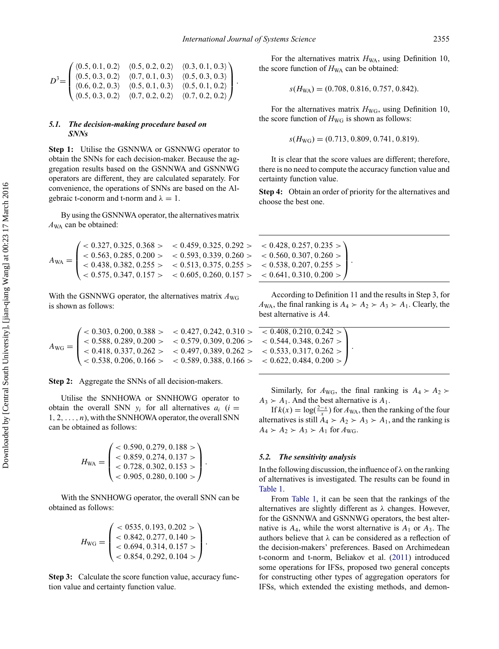$$
D^{3} = \begin{pmatrix} \langle 0.5, 0.1, 0.2 \rangle & \langle 0.5, 0.2, 0.2 \rangle & \langle 0.3, 0.1, 0.3 \rangle \\ \langle 0.5, 0.3, 0.2 \rangle & \langle 0.7, 0.1, 0.3 \rangle & \langle 0.5, 0.3, 0.3 \rangle \\ \langle 0.6, 0.2, 0.3 \rangle & \langle 0.5, 0.1, 0.3 \rangle & \langle 0.5, 0.1, 0.2 \rangle \\ \langle 0.5, 0.3, 0.2 \rangle & \langle 0.7, 0.2, 0.2 \rangle & \langle 0.7, 0.2, 0.2 \rangle \end{pmatrix}.
$$

# *5.1. The decision-making procedure based on SNNs*

**Step 1:** Utilise the GSNNWA or GSNNWG operator to obtain the SNNs for each decision-maker. Because the aggregation results based on the GSNNWA and GSNNWG operators are different, they are calculated separately. For convenience, the operations of SNNs are based on the Algebraic t-conorm and t-norm and  $\lambda = 1$ .

By using the GSNNWA operator, the alternatives matrix *A*WA can be obtained:

$$
A_{\rm WA} = \begin{pmatrix} < 0.327, 0.325, 0.368 > < 0.459, 0.325, 0.292 > < 0.428, 0.257, 0.235 > \\ < 0.563, 0.285, 0.200 > < 0.593, 0.339, 0.260 > < 0.560, 0.307, 0.260 > \\ < 0.438, 0.382, 0.255 > < 0.513, 0.375, 0.255 > < 0.538, 0.207, 0.255 > \\ < 0.575, 0.347, 0.157 > < 0.605, 0.260, 0.157 > < 0.641, 0.310, 0.200 > \end{pmatrix}
$$

With the GSNNWG operator, the alternatives matrix  $A_{\text{WG}}$ is shown as follows:

*A*WG = ⎛ ⎜ ⎜ ⎝

**Step 2:** Aggregate the SNNs of all decision-makers.

Utilise the SNNHOWA or SNNHOWG operator to obtain the overall SNN  $y_i$  for all alternatives  $a_i$  ( $i =$ 1*,* 2*,...,n*), with the SNNHOWA operator, the overall SNN can be obtained as follows:

$$
H_{\text{WA}} = \begin{pmatrix} < 0.590, 0.279, 0.188 > \\ < 0.859, 0.274, 0.137 > \\ < 0.728, 0.302, 0.153 > \\ < 0.905, 0.280, 0.100 > \end{pmatrix}.
$$

With the SNNHOWG operator, the overall SNN can be obtained as follows:

$$
H_{\text{WG}} = \begin{pmatrix} < 0535, 0.193, 0.202 > \\ < 0.842, 0.277, 0.140 > \\ < 0.694, 0.314, 0.157 > \\ < 0.854, 0.292, 0.104 > \end{pmatrix}.
$$

**Step 3:** Calculate the score function value, accuracy function value and certainty function value.

For the alternatives matrix  $H_{WA}$ , using Definition 10, the score function of  $H_{WA}$  can be obtained:

$$
s(H_{WA}) = (0.708, 0.816, 0.757, 0.842).
$$

For the alternatives matrix  $H_{\text{WG}}$ , using Definition 10, the score function of  $H_{\text{WG}}$  is shown as follows:

$$
s(H_{\text{WG}}) = (0.713, 0.809, 0.741, 0.819).
$$

It is clear that the score values are different; therefore, there is no need to compute the accuracy function value and certainty function value.

**Step 4:** Obtain an order of priority for the alternatives and choose the best one.

| $\begin{array}{l} <0.428,\, 0.257,\, 0.235>\ \\ <0.560,\, 0.307,\, 0.260>\ \\ <0.538,\, 0.207,\, 0.255>\ \\ <0.641,\, 0.310,\, 0.200>\ \end{array}\bigg).$ |  |
|------------------------------------------------------------------------------------------------------------------------------------------------------------|--|
|                                                                                                                                                            |  |
|                                                                                                                                                            |  |
|                                                                                                                                                            |  |

According to Definition 11 and the results in Step 3, for  $A_{WA}$ , the final ranking is  $A_4 \succ A_2 \succ A_3 \succ A_1$ . Clearly, the best alternative is *A*4.

*<* 0*.*303*,* 0*.*200*,* 0*.*388 *> <* 0*.*427*,* 0*.*242*,* 0*.*310 *> <* 0*.*408*,* 0*.*210*,* 0*.*242 *> <* 0*.*588*,* 0*.*289*,* 0*.*200 *> <* 0*.*579*,* 0*.*309*,* 0*.*206 *> <* 0*.*544*,* 0*.*348*,* 0*.*267 *> <* 0*.*418*,* 0*.*337*,* 0*.*262 *> <* 0*.*497*,* 0*.*389*,* 0*.*262 *> <* 0*.*533*,* 0*.*317*,* 0*.*262 *> <* 0*.*538*,* 0*.*206*,* 0*.*166 *> <* 0*.*589*,* 0*.*388*,* 0*.*166 *> <* 0*.*622*,* 0*.*484*,* 0*.*200 *>*  $\sqrt{2}$  $\blacksquare$  $\mathbf{I}$ ⎠ *.*

Similarly, for  $A_{\text{WG}}$ , the final ranking is  $A_4 \succ A_2$  $A_3$   $\geq A_1$ . And the best alternative is  $A_1$ .

If  $k(x) = \log(\frac{2-x}{x})$  for  $A_{WA}$ , then the ranking of the four alternatives is still  $A_4 \succ A_2 \succ A_3 \succ A_1$ , and the ranking is  $A_4 \succ A_2 \succ A_3 \succ A_1$  for  $A_{\text{WG}}$ .

#### *5.2. The sensitivity analysis*

In the following discussion, the influence of *λ* on the ranking of alternatives is investigated. The results can be found in [Table 1.](#page-14-0)

From [Table 1,](#page-14-0) it can be seen that the rankings of the alternatives are slightly different as *λ* changes. However, for the GSNNWA and GSNNWG operators, the best alternative is  $A_4$ , while the worst alternative is  $A_1$  or  $A_3$ . The authors believe that *λ* can be considered as a reflection of the decision-makers' preferences. Based on Archimedean t-conorm and t-norm, Beliakov et al. [\(2011\)](#page-15-15) introduced some operations for IFSs, proposed two general concepts for constructing other types of aggregation operators for IFSs, which extended the existing methods, and demon-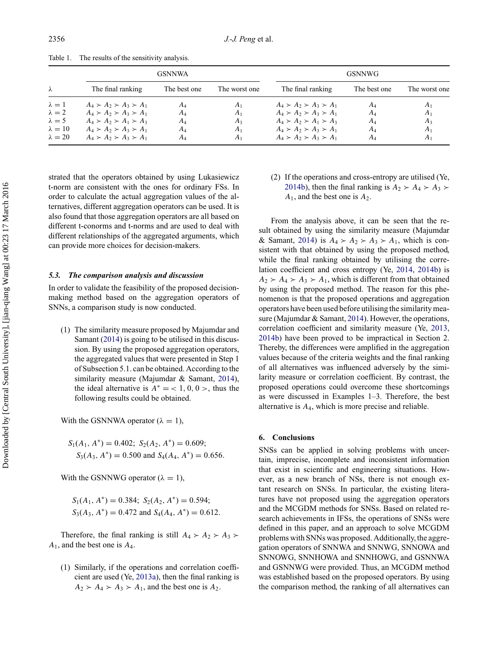|                | <b>GSNNWA</b>                       |              |                | <b>GSNNWG</b>                       |              |                |
|----------------|-------------------------------------|--------------|----------------|-------------------------------------|--------------|----------------|
| $\lambda$      | The final ranking                   | The best one | The worst one  | The final ranking                   | The best one | The worst one  |
| $\lambda=1$    | $A_4 \succ A_2 \succ A_3 \succ A_1$ | AΔ           | A <sub>1</sub> | $A_4 \succ A_2 \succ A_3 \succ A_1$ | $A_4$        | A              |
| $\lambda = 2$  | $A_4 \succ A_2 \succ A_3 \succ A_1$ | AΔ           | $A_1$          | $A_4 \succ A_2 \succ A_3 \succ A_1$ | $A_4$        | A <sub>1</sub> |
| $\lambda = 5$  | $A_4 \succ A_2 \succ A_1 \succ A_3$ | A4           | $A_3$          | $A_4 \succ A_2 \succ A_1 \succ A_3$ | $A_4$        | $A_3$          |
| $\lambda = 10$ | $A_4 \succ A_2 \succ A_3 \succ A_1$ | $A_4$        | $A_1$          | $A_4 \succ A_2 \succ A_3 \succ A_1$ | $A_4$        | $A_{1}$        |
| $\lambda = 20$ | $A_4 \succ A_2 \succ A_3 \succ A_1$ | AΔ           | $A_1$          | $A_4 \succ A_2 \succ A_3 \succ A_1$ | $A_4$        | A <sub>1</sub> |

<span id="page-14-0"></span>Table 1. The results of the sensitivity analysis.

strated that the operators obtained by using Lukasiewicz t-norm are consistent with the ones for ordinary FSs. In order to calculate the actual aggregation values of the alternatives, different aggregation operators can be used. It is also found that those aggregation operators are all based on different t-conorms and t-norms and are used to deal with different relationships of the aggregated arguments, which can provide more choices for decision-makers.

### *5.3. The comparison analysis and discussion*

In order to validate the feasibility of the proposed decisionmaking method based on the aggregation operators of SNNs, a comparison study is now conducted.

(1) The similarity measure proposed by Majumdar and Samant [\(2014\)](#page-16-17) is going to be utilised in this discussion. By using the proposed aggregation operators, the aggregated values that were presented in Step 1 of Subsection 5.1. can be obtained. According to the similarity measure (Majumdar & Samant, [2014\)](#page-16-17), the ideal alternative is  $A^* = \langle 1, 0, 0 \rangle$ , thus the following results could be obtained.

With the GSNNWA operator  $(\lambda = 1)$ ,

 $S_1(A_1, A^*) = 0.402$ ;  $S_2(A_2, A^*) = 0.609$ ;  $S_3(A_3, A^*) = 0.500$  and  $S_4(A_4, A^*) = 0.656$ .

With the GSNNWG operator  $(\lambda = 1)$ ,

 $S_1(A_1, A^*) = 0.384$ ;  $S_2(A_2, A^*) = 0.594$ ;  $S_3(A_3, A^*) = 0.472$  and  $S_4(A_4, A^*) = 0.612$ .

Therefore, the final ranking is still  $A_4 \succ A_2 \succ A_3 \succ$ *A*1, and the best one is *A*4.

(1) Similarly, if the operations and correlation coefficient are used (Ye, [2013a\)](#page-16-18), then the final ranking is  $A_2 \succ A_4 \succ A_3 \succ A_1$ , and the best one is  $A_2$ .

# (2) If the operations and cross-entropy are utilised (Ye, [2014b\)](#page-16-22), then the final ranking is  $A_2 \succ A_4 \succ A_3 \succ$ *A*1, and the best one is *A*2.

From the analysis above, it can be seen that the result obtained by using the similarity measure (Majumdar & Samant, [2014\)](#page-16-17) is  $A_4 \succ A_2 \succ A_3 \succ A_1$ , which is consistent with that obtained by using the proposed method, while the final ranking obtained by utilising the correlation coefficient and cross entropy (Ye, [2014,](#page-16-18) [2014b\)](#page-16-22) is  $A_2 \succ A_4 \succ A_3 \succ A_1$ , which is different from that obtained by using the proposed method. The reason for this phenomenon is that the proposed operations and aggregation operators have been used before utilising the similarity mea-sure (Majumdar & Samant, [2014\)](#page-16-17). However, the operations, correlation coefficient and similarity measure (Ye, [2013,](#page-16-18) [2014b\)](#page-16-22) have been proved to be impractical in Section 2. Thereby, the differences were amplified in the aggregation values because of the criteria weights and the final ranking of all alternatives was influenced adversely by the similarity measure or correlation coefficient. By contrast, the proposed operations could overcome these shortcomings as were discussed in Examples 1–3. Therefore, the best alternative is *A*4, which is more precise and reliable.

#### **6. Conclusions**

SNSs can be applied in solving problems with uncertain, imprecise, incomplete and inconsistent information that exist in scientific and engineering situations. However, as a new branch of NSs, there is not enough extant research on SNSs. In particular, the existing literatures have not proposed using the aggregation operators and the MCGDM methods for SNSs. Based on related research achievements in IFSs, the operations of SNSs were defined in this paper, and an approach to solve MCGDM problems with SNNs was proposed. Additionally, the aggregation operators of SNNWA and SNNWG, SNNOWA and SNNOWG, SNNHOWA and SNNHOWG, and GSNNWA and GSNNWG were provided. Thus, an MCGDM method was established based on the proposed operators. By using the comparison method, the ranking of all alternatives can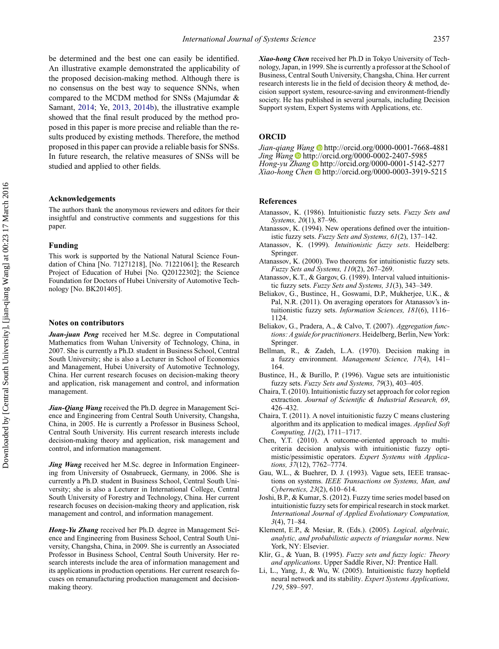be determined and the best one can easily be identified. An illustrative example demonstrated the applicability of the proposed decision-making method. Although there is no consensus on the best way to sequence SNNs, when compared to the MCDM method for SNSs (Majumdar & Samant, [2014;](#page-16-17) Ye, [2013,](#page-16-18) [2014b\)](#page-16-22), the illustrative example showed that the final result produced by the method proposed in this paper is more precise and reliable than the results produced by existing methods. Therefore, the method proposed in this paper can provide a reliable basis for SNSs. In future research, the relative measures of SNSs will be studied and applied to other fields.

## **Acknowledgements**

The authors thank the anonymous reviewers and editors for their insightful and constructive comments and suggestions for this paper.

#### **Funding**

This work is supported by the National Natural Science Foundation of China [No. 71271218], [No. 71221061]; the Research Project of Education of Hubei [No. Q20122302]; the Science Foundation for Doctors of Hubei University of Automotive Technology [No. BK201405].

#### **Notes on contributors**

*Juan-juan Peng* received her M.Sc. degree in Computational Mathematics from Wuhan University of Technology, China, in 2007. She is currently a Ph.D. student in Business School, Central South University; she is also a Lecturer in School of Economics and Management, Hubei University of Automotive Technology, China. Her current research focuses on decision-making theory and application, risk management and control, and information management.

*Jian-Qiang Wang* received the Ph.D. degree in Management Science and Engineering from Central South University, Changsha, China, in 2005. He is currently a Professor in Business School, Central South University. His current research interests include decision-making theory and application, risk management and control, and information management.

*Jing Wang* received her M.Sc. degree in Information Engineering from University of Osnabrueck, Germany, in 2006. She is currently a Ph.D. student in Business School, Central South University; she is also a Lecturer in International College, Central South University of Forestry and Technology, China. Her current research focuses on decision-making theory and application, risk management and control, and information management.

*Hong-Yu Zhang* received her Ph.D. degree in Management Science and Engineering from Business School, Central South University, Changsha, China, in 2009. She is currently an Associated Professor in Business School, Central South University. Her research interests include the area of information management and its applications in production operations. Her current research focuses on remanufacturing production management and decisionmaking theory.

*Xiao-hong Chen* received her Ph.D in Tokyo University of Technology, Japan, in 1999. She is currently a professor at the School of Business, Central South University, Changsha, China. Her current research interests lie in the field of decision theory & method, decision support system, resource-saving and environment-friendly society. He has published in several journals, including Decision Support system, Expert Systems with Applications, etc.

# **ORCID**

*Jian-qiang Wang* <http://orcid.org/0000-0001-7668-4881> *Jing Wang* <http://orcid.org/0000-0002-2407-5985> *Hong-yu Zhang* <http://orcid.org/0000-0001-5142-5277> *Xiao-hong Chen* <http://orcid.org/0000-0003-3919-5215>

# **References**

- <span id="page-15-1"></span>Atanassov, K. (1986). Intuitionistic fuzzy sets. *Fuzzy Sets and Systems, 20*(1), 87–96.
- <span id="page-15-2"></span>Atanassov, K. (1994). New operations defined over the intuitionistic fuzzy sets. *Fuzzy Sets and Systems, 61*(2), 137–142.
- <span id="page-15-3"></span>Atanassov, K. (1999). *Intuitionistic fuzzy sets*. Heidelberg: Springer.
- <span id="page-15-4"></span>Atanassov, K. (2000). Two theorems for intuitionistic fuzzy sets. *Fuzzy Sets and Systems, 110*(2), 267–269.
- <span id="page-15-11"></span>Atanassov, K.T., & Gargov, G. (1989). Interval valued intuitionistic fuzzy sets. *Fuzzy Sets and Systems, 31*(3), 343–349.
- <span id="page-15-15"></span>Beliakov, G., Bustince, H., Goswami, D.P., Mukherjee, U.K., & Pal, N.R. (2011). On averaging operators for Atanassov's intuitionistic fuzzy sets. *Information Sciences, 181*(6), 1116– 1124.
- <span id="page-15-14"></span>Beliakov, G., Pradera, A., & Calvo, T. (2007). *Aggregation functions: A guide for practitioners*. Heidelberg, Berlin, New York: Springer.
- <span id="page-15-0"></span>Bellman, R., & Zadeh, L.A. (1970). Decision making in a fuzzy environment. *Management Science, 17*(4), 141– 164.
- <span id="page-15-6"></span>Bustince, H., & Burillo, P. (1996). Vague sets are intuitionistic fuzzy sets. *Fuzzy Sets and Systems, 79*(3), 403–405.
- <span id="page-15-8"></span>Chaira, T. (2010). Intuitionistic fuzzy set approach for color region extraction. *Journal of Scientific & Industrial Research, 69*, 426–432.
- <span id="page-15-9"></span>Chaira, T. (2011). A novel intuitionistic fuzzy C means clustering algorithm and its application to medical images. *Applied Soft Computing, 11*(2), 1711–1717.
- <span id="page-15-7"></span>Chen, Y.T. (2010). A outcome-oriented approach to multicriteria decision analysis with intuitionistic fuzzy optimistic/pessimistic operators. *Expert Systems with Applications, 37*(12), 7762–7774.
- <span id="page-15-5"></span>Gau, W.L., & Buehrer, D. J. (1993). Vague sets, IEEE transactions on systems. *IEEE Transactions on Systems, Man, and Cybernetics, 23*(2), 610–614.
- <span id="page-15-10"></span>Joshi, B.P., & Kumar, S. (2012). Fuzzy time series model based on intuitionistic fuzzy sets for empirical research in stock market. *International Journal of Applied Evolutionary Computation, 3*(4), 71–84.
- <span id="page-15-12"></span>Klement, E.P., & Mesiar, R. (Eds.). (2005). *Logical, algebraic, analytic, and probabilistic aspects of triangular norms*. New York, NY: Elsevier.
- <span id="page-15-13"></span>Klir, G., & Yuan, B. (1995). *Fuzzy sets and fuzzy logic: Theory and applications*. Upper Saddle River, NJ: Prentice Hall.
- Li, L., Yang, J., & Wu, W. (2005). Intuitionistic fuzzy hopfield neural network and its stability. *Expert Systems Applications, 129*, 589–597.